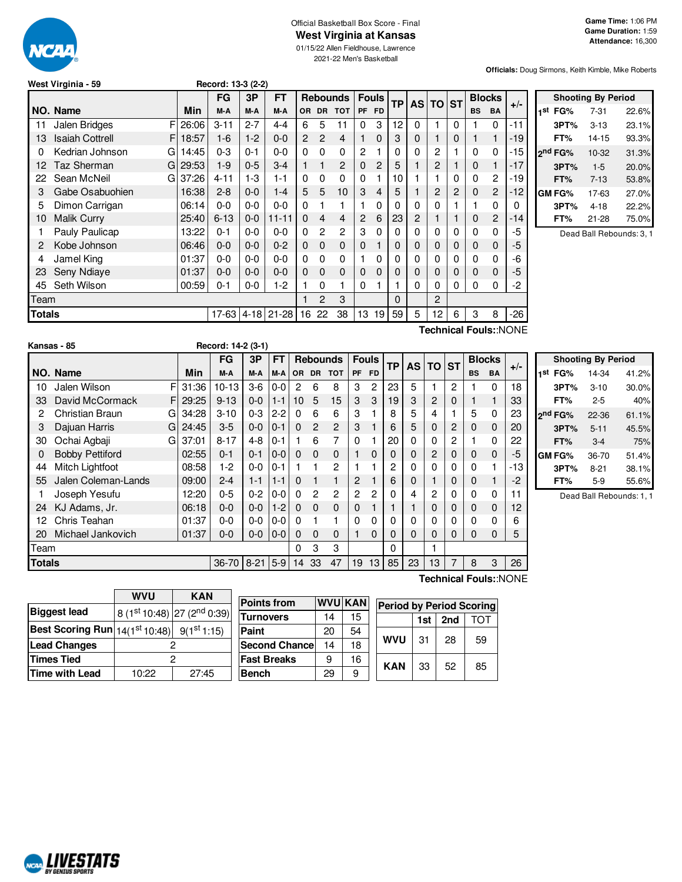

### Official Basketball Box Score - Final **West Virginia at Kansas**

01/15/22 Allen Fieldhouse, Lawrence 2021-22 Men's Basketball

**Officials:** Doug Sirmons, Keith Kimble, Mike Roberts

|  |  | West Virginia - 59 |  |  |
|--|--|--------------------|--|--|
|--|--|--------------------|--|--|

|        |                             |       | FG       | 3P      | <b>FT</b>    |             |                | <b>Rebounds</b> | <b>Fouls</b> |              | <b>TP</b> | AS I | I TO | <b>ST</b> | <b>Blocks</b> |                |       |
|--------|-----------------------------|-------|----------|---------|--------------|-------------|----------------|-----------------|--------------|--------------|-----------|------|------|-----------|---------------|----------------|-------|
|        | NO. Name                    | Min   | M-A      | M-A     | M-A          | <b>OR</b>   | <b>DR</b>      | <b>TOT</b>      | PF           | <b>FD</b>    |           |      |      |           | <b>BS</b>     | <b>BA</b>      | $+/-$ |
| 11     | F<br>Jalen Bridges          | 26:06 | $3 - 11$ | $2 - 7$ | $4 - 4$      | 6           | 5              | 11              | 0            | 3            | 12        | 0    |      | 0         |               | 0              | -11   |
| 13     | <b>Isaiah Cottrell</b><br>F | 18:57 | $1-6$    | $1-2$   | $0 - 0$      | 2           | $\overline{c}$ | 4               |              | 0            | 3         | 0    |      | 0         |               | 1              | -19   |
| 0      | Kedrian Johnson<br>G        | 14:45 | $0 - 3$  | $0 - 1$ | 0-0          | 0           | $\Omega$       | $\Omega$        | 2            |              | 0         | 0    | 2    |           | $\Omega$      | 0              | -15   |
| 12     | Taz Sherman<br>G            | 29:53 | $1-9$    | $0 - 5$ | $3-4$        |             |                | 2               | 0            | 2            | 5         |      | 2    |           | $\Omega$      | 1              | -17   |
| 22     | Sean McNeil<br>G            | 37:26 | 4-11     | 1-3     | 1-1          | 0           | $\Omega$       | 0               | $\Omega$     |              | 10        |      |      | 0         | 0             | 2              | -19   |
| 3      | Gabe Osabuohien             | 16:38 | $2 - 8$  | $0 - 0$ | 1-4          | 5           | 5              | 10              | 3            | 4            | 5         |      | 2    | 2         | $\mathbf{0}$  | 2              | -12   |
| 5      | Dimon Carrigan              | 06:14 | $0 - 0$  | $0 - 0$ | $0 - 0$      | 0           |                |                 |              | $\Omega$     | 0         | 0    | 0    |           |               | $\Omega$       | 0     |
| 10     | <b>Malik Curry</b>          | 25:40 | $6 - 13$ | $0 - 0$ | $11 - 11$    | $\mathbf 0$ | 4              | 4               | 2            | 6            | 23        | 2    |      |           | $\Omega$      | $\overline{c}$ | $-14$ |
|        | Pauly Paulicap              | 13:22 | $0 - 1$  | $0 - 0$ | $0 - 0$      | 0           | 2              | 2               | 3            | 0            | 0         | 0    | 0    | 0         | 0             | 0              | -5    |
| 2      | Kobe Johnson                | 06:46 | $0 - 0$  | $0 - 0$ | $0 - 2$      | 0           | $\mathbf 0$    | $\mathbf{0}$    | 0            |              | 0         | 0    | 0    | 0         | 0             | $\mathbf{0}$   | -5    |
| 4      | Jamel King                  | 01:37 | $0 - 0$  | $0 - 0$ | $0 - 0$      | $\Omega$    | 0              | 0               |              | 0            | 0         | 0    | 0    | 0         | 0             | 0              | -6    |
| 23     | Seny Ndiave                 | 01:37 | $0 - 0$  | $0 - 0$ | $0 - 0$      | 0           | $\Omega$       | $\Omega$        | 0            | $\mathbf{0}$ | 0         | 0    | 0    | 0         | 0             | $\mathbf{0}$   | -5    |
| 45     | Seth Wilson                 | 00:59 | $0 - 1$  | $0-0$   | 1-2          |             | 0              |                 | 0            |              |           | 0    | 0    | 0         | $\Omega$      | 0              | -2    |
| Team   |                             |       |          |         |              |             | 2              | 3               |              |              | 0         |      | 2    |           |               |                |       |
| Totals |                             |       | $17-63$  |         | $4-18$ 21-28 | 16          | 22             | 38              | 13           | 19           | 59        | 5    | 12   | 6         | 3             | 8              | -26   |
|        | Technical Fouls::NONE       |       |          |         |              |             |                |                 |              |              |           |      |      |           |               |                |       |

**West Virginia - 59 Record: 13-3 (2-2)**

**1 st FG%** 7-31 22.6% **3PT%** 3-13 23.1% **FT%** 14-15 93.3% **2 nd FG%** 10-32 31.3% **3PT%** 1-5 20.0% **FT%** 7-13 53.8% **GM FG%** 17-63 27.0% **3PT%** 4-18 22.2% **FT%** 21-28 75.0%

**Shooting By Period**

Dead Ball Rebounds: 3, 1

|               | Kansas - 85            |    |       | Record: 14-2 (3-1) |         |           |                 |                |                 |    |              |           |              |       |          |           |               |       |                     |
|---------------|------------------------|----|-------|--------------------|---------|-----------|-----------------|----------------|-----------------|----|--------------|-----------|--------------|-------|----------|-----------|---------------|-------|---------------------|
|               |                        |    |       | <b>FG</b>          | 3P      | <b>FT</b> |                 |                | <b>Rebounds</b> |    | <b>Fouls</b> | <b>TP</b> | <b>AS</b>    | TO ST |          |           | <b>Blocks</b> |       | Shoo                |
|               | NO. Name               |    | Min   | M-A                | M-A     | M-A       | OR              |                | DR TOT          | PF | <b>FD</b>    |           |              |       |          | <b>BS</b> | <b>BA</b>     | $+/-$ | FG%<br>1st          |
| 10            | Jalen Wilson           | FI | 31:36 | $10 - 13$          | $3-6$   | $0-0$     | 2               | 6              | 8               | 3  | 2            | 23        | 5            |       | 2        |           | 0             | 18    | 3PT%                |
| 33            | David McCormack        | FI | 29:25 | $9 - 13$           | $0-0$   | $1 - 1$   | 10 <sup>1</sup> | 5              | 15              | 3  | 3            | 19        | 3            | 2     | 0        |           |               | 33    | FT%                 |
| 2             | Christian Braun        | GI | 34:28 | $3 - 10$           | $0 - 3$ | $2 - 2$   | 0               | 6              | 6               | 3  |              | 8         | 5            | 4     |          | 5         | $\Omega$      | 23    | 2 <sup>nd</sup> FG% |
| 3             | Dajuan Harris          | GI | 24:45 | $3-5$              | $0 - 0$ | $0 - 1$   | $\Omega$        | $\overline{c}$ | $\overline{c}$  | 3  |              | 6         | 5            | 0     | 2        | 0         | $\Omega$      | 20    | 3PT%                |
| 30            | Ochai Agbaji           | GI | 37:01 | $8 - 17$           | $4 - 8$ | $0 - 1$   |                 | 6              | 7               | 0  |              | 20        |              | 0     | 2        |           | 0             | 22    | FT%                 |
| 0             | <b>Bobby Pettiford</b> |    | 02:55 | $0 - 1$            | $0 - 1$ | $0-0$     | 0               | $\Omega$       | $\mathbf 0$     |    | $\Omega$     | 0         |              | 2     | 0        | 0         | $\mathbf 0$   | -5    | <b>GM FG%</b>       |
| 44            | Mitch Lightfoot        |    | 08:58 | $1-2$              | $0 - 0$ | $0 - 1$   |                 |                | 2               |    |              | 2         |              | 0     | 0        | ი         |               | -13   | 3PT%                |
| 55            | Jalen Coleman-Lands    |    | 09:00 | $2 - 4$            | $1 - 1$ | $1 - 1$   | $\Omega$        |                | 1               | 2  |              | 6         | 0            |       | $\Omega$ | 0         |               | -2    | FT%                 |
|               | Joseph Yesufu          |    | 12:20 | $0 - 5$            | $0 - 2$ | $0-0$     | 0               | $\overline{2}$ | 2               | 2  | 2            | 0         | 4            | 2     | 0        | 0         | $\Omega$      | 11    | Dea                 |
| 24            | KJ Adams, Jr.          |    | 06:18 | $0 - 0$            | $0 - 0$ | $1-2$     | $\Omega$        | $\Omega$       | $\Omega$        | 0  |              |           |              | 0     | $\Omega$ | 0         | $\Omega$      | 12    |                     |
| 12            | Chris Teahan           |    | 01:37 | $0-0$              | $0-0$   | $0-0$     | 0               |                |                 | 0  | $\Omega$     | 0         |              | 0     | 0        |           | 0             | 6     |                     |
| 20            | Michael Jankovich      |    | 01:37 | $0 - 0$            | $0 - 0$ | $0-0$     | 0               | 0              | $\mathbf 0$     |    | $\Omega$     | 0         | <sup>0</sup> | 0     | $\Omega$ | 0         | 0             | 5     |                     |
| Геаm          |                        |    |       |                    |         |           | 0               | 3              | 3               |    |              | 0         |              |       |          |           |               |       |                     |
| <b>Totals</b> |                        |    |       | 36-70   8-21   5-9 |         |           | 14              | 33             | 47              | 19 | 13           | 85        | 23           | 13    |          | 8         | 3             | 26    |                     |

| <b>Shooting By Period</b> |          |       |  |  |  |  |  |
|---------------------------|----------|-------|--|--|--|--|--|
| FG%                       | 14-34    | 41.2% |  |  |  |  |  |
| 3PT%                      | $3 - 10$ | 30.0% |  |  |  |  |  |
| FT%                       | 2-5      | 40%   |  |  |  |  |  |
| 2 <sup>nd</sup> FG%       | 22-36    | 61.1% |  |  |  |  |  |
| 3PT%                      | $5 - 11$ | 45.5% |  |  |  |  |  |
| FT%                       | $3-4$    | 75%   |  |  |  |  |  |
| <b>GM FG%</b>             | 36-70    | 51.4% |  |  |  |  |  |
| 3PT%                      | $8 - 21$ | 38.1% |  |  |  |  |  |
| FT%                       | $5-9$    | 55.6% |  |  |  |  |  |
|                           |          |       |  |  |  |  |  |

ad Ball Rebounds: 1, 1

|                                                  | <b>WVU</b>     | <b>KAN</b>                              |  |  |  |  |  |
|--------------------------------------------------|----------------|-----------------------------------------|--|--|--|--|--|
| <b>Biggest lead</b>                              |                | 8 (1st 10:48) 27 (2 <sup>nd</sup> 0:39) |  |  |  |  |  |
| Best Scoring Run $ 14(1^{st}10.48) $ 9(1st 1:15) |                |                                         |  |  |  |  |  |
| <b>Lead Changes</b>                              | 2              |                                         |  |  |  |  |  |
| <b>Times Tied</b>                                | 2              |                                         |  |  |  |  |  |
| <b>Time with Lead</b>                            | 10:22<br>27:45 |                                         |  |  |  |  |  |

| <b>Points from</b> | <b>WVU KAN</b> |    | <b>Period by Period Scoring</b> |     |     |     |  |  |
|--------------------|----------------|----|---------------------------------|-----|-----|-----|--|--|
| Turnovers          | 14             | 15 |                                 | 1st | 2nd | TOT |  |  |
| Paint              | 20             | 54 |                                 |     |     |     |  |  |
| Second Chancel     | 14             | 18 | <b>WVU</b>                      | 31  | 28  | 59  |  |  |
| <b>Fast Breaks</b> | 9              | 16 |                                 |     |     |     |  |  |
| Bench              | 29             | 9  | <b>KAN</b>                      | 33  | 52  | 85  |  |  |

**Technical Fouls:**:NONE

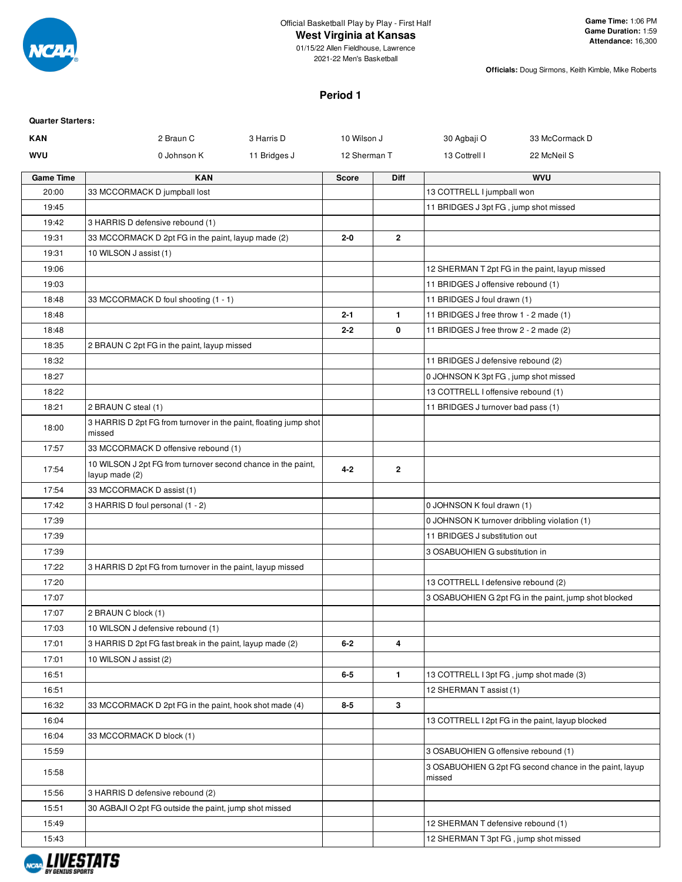

# **West Virginia at Kansas**

01/15/22 Allen Fieldhouse, Lawrence 2021-22 Men's Basketball

**Officials:** Doug Sirmons, Keith Kimble, Mike Roberts

# **Period 1**

| <b>Quarter Starters:</b> |                                                                                |              |              |                |                                              |                                                         |
|--------------------------|--------------------------------------------------------------------------------|--------------|--------------|----------------|----------------------------------------------|---------------------------------------------------------|
| <b>KAN</b>               | 2 Braun C                                                                      | 3 Harris D   | 10 Wilson J  |                | 30 Agbaji O                                  | 33 McCormack D                                          |
| WVU                      | 0 Johnson K                                                                    | 11 Bridges J | 12 Sherman T |                | 13 Cottrell I                                | 22 McNeil S                                             |
| <b>Game Time</b>         | <b>KAN</b>                                                                     |              | <b>Score</b> | <b>Diff</b>    |                                              | <b>WVU</b>                                              |
| 20:00                    | 33 MCCORMACK D jumpball lost                                                   |              |              |                | 13 COTTRELL I jumpball won                   |                                                         |
| 19:45                    |                                                                                |              |              |                | 11 BRIDGES J 3pt FG, jump shot missed        |                                                         |
| 19:42                    | 3 HARRIS D defensive rebound (1)                                               |              |              |                |                                              |                                                         |
| 19:31                    | 33 MCCORMACK D 2pt FG in the paint, layup made (2)                             |              | $2 - 0$      | $\mathbf{2}$   |                                              |                                                         |
| 19:31                    | 10 WILSON J assist (1)                                                         |              |              |                |                                              |                                                         |
| 19:06                    |                                                                                |              |              |                |                                              | 12 SHERMAN T 2pt FG in the paint, layup missed          |
| 19:03                    |                                                                                |              |              |                | 11 BRIDGES J offensive rebound (1)           |                                                         |
| 18:48                    | 33 MCCORMACK D foul shooting (1 - 1)                                           |              |              |                | 11 BRIDGES J foul drawn (1)                  |                                                         |
| 18:48                    |                                                                                |              | $2 - 1$      | $\mathbf{1}$   | 11 BRIDGES J free throw 1 - 2 made (1)       |                                                         |
| 18:48                    |                                                                                |              | $2 - 2$      | 0              | 11 BRIDGES J free throw 2 - 2 made (2)       |                                                         |
| 18:35                    | 2 BRAUN C 2pt FG in the paint, layup missed                                    |              |              |                |                                              |                                                         |
| 18:32                    |                                                                                |              |              |                | 11 BRIDGES J defensive rebound (2)           |                                                         |
| 18:27                    |                                                                                |              |              |                | 0 JOHNSON K 3pt FG, jump shot missed         |                                                         |
| 18:22                    |                                                                                |              |              |                | 13 COTTRELL I offensive rebound (1)          |                                                         |
| 18:21                    | 2 BRAUN C steal (1)                                                            |              |              |                | 11 BRIDGES J turnover bad pass (1)           |                                                         |
| 18:00                    | 3 HARRIS D 2pt FG from turnover in the paint, floating jump shot<br>missed     |              |              |                |                                              |                                                         |
| 17:57                    | 33 MCCORMACK D offensive rebound (1)                                           |              |              |                |                                              |                                                         |
| 17:54                    | 10 WILSON J 2pt FG from turnover second chance in the paint,<br>layup made (2) |              | $4 - 2$      | $\mathbf{2}$   |                                              |                                                         |
| 17:54                    | 33 MCCORMACK D assist (1)                                                      |              |              |                |                                              |                                                         |
| 17:42                    | 3 HARRIS D foul personal (1 - 2)                                               |              |              |                | 0 JOHNSON K foul drawn (1)                   |                                                         |
| 17:39                    |                                                                                |              |              |                | 0 JOHNSON K turnover dribbling violation (1) |                                                         |
| 17:39                    |                                                                                |              |              |                | 11 BRIDGES J substitution out                |                                                         |
| 17:39                    |                                                                                |              |              |                | 3 OSABUOHIEN G substitution in               |                                                         |
| 17:22                    | 3 HARRIS D 2pt FG from turnover in the paint, layup missed                     |              |              |                |                                              |                                                         |
| 17:20                    |                                                                                |              |              |                | 13 COTTRELL I defensive rebound (2)          |                                                         |
| 17:07                    |                                                                                |              |              |                |                                              | 3 OSABUOHIEN G 2pt FG in the paint, jump shot blocked   |
| 17:07                    | 2 BRAUN C block (1)                                                            |              |              |                |                                              |                                                         |
| 17:03                    | 10 WILSON J defensive rebound (1)                                              |              |              |                |                                              |                                                         |
| 17:01                    | 3 HARRIS D 2pt FG fast break in the paint, layup made (2)                      |              | $6-2$        | 4              |                                              |                                                         |
| 17:01                    | 10 WILSON J assist (2)                                                         |              |              |                |                                              |                                                         |
| 16:51                    |                                                                                |              | $6-5$        | $\blacksquare$ | 13 COTTRELL I 3pt FG, jump shot made (3)     |                                                         |
| 16:51                    |                                                                                |              |              |                | 12 SHERMAN T assist (1)                      |                                                         |
| 16:32                    | 33 MCCORMACK D 2pt FG in the paint, hook shot made (4)                         |              | $8-5$        | $\mathbf{3}$   |                                              |                                                         |
| 16:04                    |                                                                                |              |              |                |                                              | 13 COTTRELL I 2pt FG in the paint, layup blocked        |
| 16:04                    | 33 MCCORMACK D block (1)                                                       |              |              |                |                                              |                                                         |
| 15:59                    |                                                                                |              |              |                | 3 OSABUOHIEN G offensive rebound (1)         |                                                         |
| 15:58                    |                                                                                |              |              |                | missed                                       | 3 OSABUOHIEN G 2pt FG second chance in the paint, layup |
| 15:56                    | 3 HARRIS D defensive rebound (2)                                               |              |              |                |                                              |                                                         |
| 15:51                    | 30 AGBAJI O 2pt FG outside the paint, jump shot missed                         |              |              |                |                                              |                                                         |
| 15:49                    |                                                                                |              |              |                | 12 SHERMAN T defensive rebound (1)           |                                                         |
| 15:43                    |                                                                                |              |              |                | 12 SHERMAN T 3pt FG, jump shot missed        |                                                         |
|                          |                                                                                |              |              |                |                                              |                                                         |

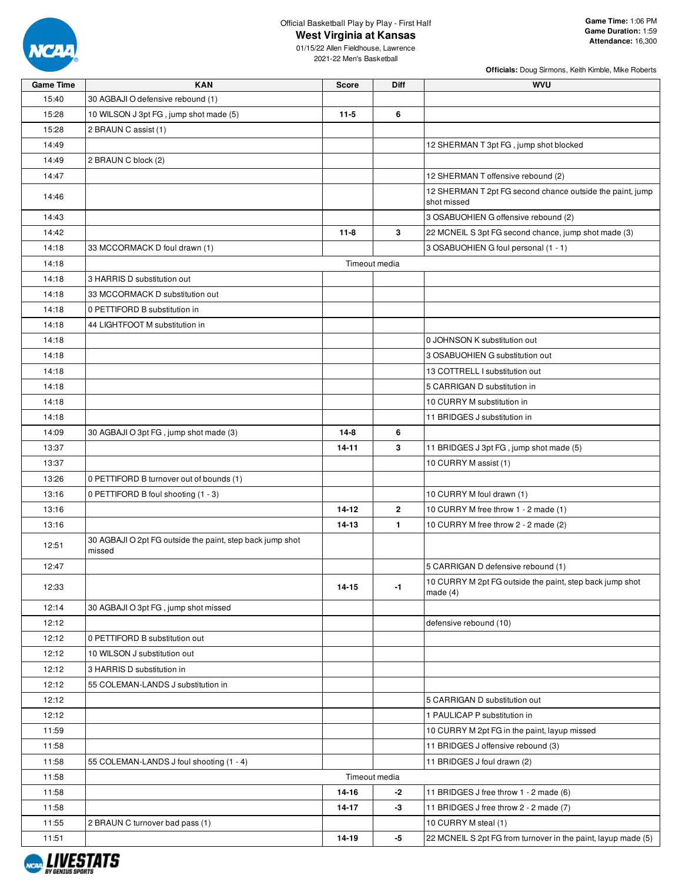

# Official Basketball Play by Play - First Half

**Officials:** Doug Sirmons, Keith Kimble, Mike Roberts

| <b>Game Time</b> | <b>KAN</b>                                                | <b>Score</b>  | Diff         | <b>WVU</b>                                                    |
|------------------|-----------------------------------------------------------|---------------|--------------|---------------------------------------------------------------|
| 15:40            | 30 AGBAJI O defensive rebound (1)                         |               |              |                                                               |
| 15:28            | 10 WILSON J 3pt FG, jump shot made (5)                    | $11-5$        | 6            |                                                               |
| 15:28            | 2 BRAUN C assist (1)                                      |               |              |                                                               |
| 14:49            |                                                           |               |              | 12 SHERMAN T 3pt FG, jump shot blocked                        |
| 14:49            | 2 BRAUN C block (2)                                       |               |              |                                                               |
| 14:47            |                                                           |               |              | 12 SHERMAN T offensive rebound (2)                            |
|                  |                                                           |               |              | 12 SHERMAN T 2pt FG second chance outside the paint, jump     |
| 14:46            |                                                           |               |              | shot missed                                                   |
| 14:43            |                                                           |               |              | 3 OSABUOHIEN G offensive rebound (2)                          |
| 14:42            |                                                           | $11 - 8$      | 3            | 22 MCNEIL S 3pt FG second chance, jump shot made (3)          |
| 14:18            | 33 MCCORMACK D foul drawn (1)                             |               |              | 3 OSABUOHIEN G foul personal (1 - 1)                          |
| 14:18            |                                                           | Timeout media |              |                                                               |
| 14:18            | 3 HARRIS D substitution out                               |               |              |                                                               |
| 14:18            | 33 MCCORMACK D substitution out                           |               |              |                                                               |
| 14:18            | 0 PETTIFORD B substitution in                             |               |              |                                                               |
| 14:18            | 44 LIGHTFOOT M substitution in                            |               |              |                                                               |
| 14:18            |                                                           |               |              | 0 JOHNSON K substitution out                                  |
| 14:18            |                                                           |               |              | 3 OSABUOHIEN G substitution out                               |
| 14:18            |                                                           |               |              | 13 COTTRELL I substitution out                                |
| 14:18            |                                                           |               |              | 5 CARRIGAN D substitution in                                  |
| 14:18            |                                                           |               |              | 10 CURRY M substitution in                                    |
| 14:18            |                                                           |               |              | 11 BRIDGES J substitution in                                  |
| 14:09            | 30 AGBAJI O 3pt FG, jump shot made (3)                    | $14-8$        | 6            |                                                               |
| 13:37            |                                                           | 14-11         | 3            | 11 BRIDGES J 3pt FG, jump shot made (5)                       |
| 13:37            |                                                           |               |              | 10 CURRY M assist (1)                                         |
| 13:26            | 0 PETTIFORD B turnover out of bounds (1)                  |               |              |                                                               |
| 13:16            | 0 PETTIFORD B foul shooting (1 - 3)                       |               |              | 10 CURRY M foul drawn (1)                                     |
| 13:16            |                                                           | $14 - 12$     | $\mathbf{2}$ | 10 CURRY M free throw 1 - 2 made (1)                          |
| 13:16            |                                                           | $14 - 13$     | $\mathbf{1}$ | 10 CURRY M free throw 2 - 2 made (2)                          |
|                  | 30 AGBAJI O 2pt FG outside the paint, step back jump shot |               |              |                                                               |
| 12:51            | missed                                                    |               |              |                                                               |
| 12:47            |                                                           |               |              | 5 CARRIGAN D defensive rebound (1)                            |
| 12:33            |                                                           | 14-15         | -1           | 10 CURRY M 2pt FG outside the paint, step back jump shot      |
|                  |                                                           |               |              | made $(4)$                                                    |
| 12:14            | 30 AGBAJI O 3pt FG, jump shot missed                      |               |              |                                                               |
| 12:12            |                                                           |               |              | defensive rebound (10)                                        |
| 12:12            | 0 PETTIFORD B substitution out                            |               |              |                                                               |
| 12:12            | 10 WILSON J substitution out                              |               |              |                                                               |
| 12:12            | 3 HARRIS D substitution in                                |               |              |                                                               |
| 12:12            | 55 COLEMAN-LANDS J substitution in                        |               |              |                                                               |
| 12:12            |                                                           |               |              | 5 CARRIGAN D substitution out                                 |
| 12:12            |                                                           |               |              | 1 PAULICAP P substitution in                                  |
| 11:59            |                                                           |               |              | 10 CURRY M 2pt FG in the paint, layup missed                  |
| 11:58            |                                                           |               |              | 11 BRIDGES J offensive rebound (3)                            |
| 11:58            | 55 COLEMAN-LANDS J foul shooting (1 - 4)                  |               |              | 11 BRIDGES J foul drawn (2)                                   |
| 11:58            |                                                           | Timeout media |              |                                                               |
| 11:58            |                                                           | 14-16         | -2           | 11 BRIDGES J free throw 1 - 2 made (6)                        |
| 11:58            |                                                           | 14-17         | -3           | 11 BRIDGES J free throw 2 - 2 made (7)                        |
| 11:55            | 2 BRAUN C turnover bad pass (1)                           |               |              | 10 CURRY M steal (1)                                          |
| 11:51            |                                                           | 14-19         | -5           | 22 MCNEIL S 2pt FG from turnover in the paint, layup made (5) |

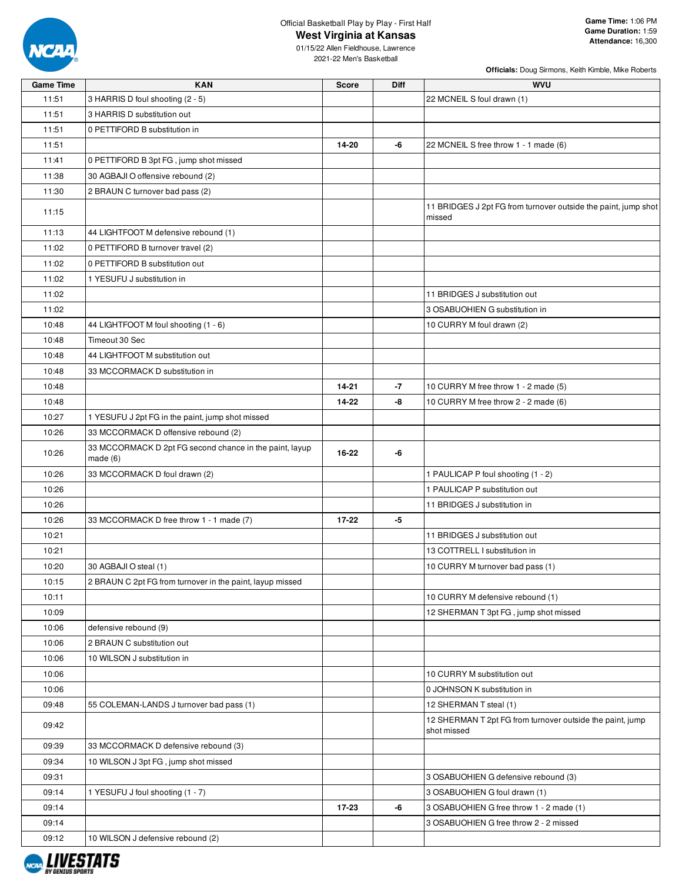

## Official Basketball Play by Play - First Half **West Virginia at Kansas**

**Officials:** Doug Sirmons, Keith Kimble, Mike Roberts

| <b>Game Time</b> | <b>KAN</b>                                                         | <b>Score</b> | Diff | <b>WVU</b>                                                               |
|------------------|--------------------------------------------------------------------|--------------|------|--------------------------------------------------------------------------|
| 11:51            | 3 HARRIS D foul shooting (2 - 5)                                   |              |      | 22 MCNEIL S foul drawn (1)                                               |
| 11:51            | 3 HARRIS D substitution out                                        |              |      |                                                                          |
| 11:51            | 0 PETTIFORD B substitution in                                      |              |      |                                                                          |
| 11:51            |                                                                    | 14-20        | -6   | 22 MCNEIL S free throw 1 - 1 made (6)                                    |
| 11:41            | 0 PETTIFORD B 3pt FG, jump shot missed                             |              |      |                                                                          |
| 11:38            | 30 AGBAJI O offensive rebound (2)                                  |              |      |                                                                          |
| 11:30            | 2 BRAUN C turnover bad pass (2)                                    |              |      |                                                                          |
| 11:15            |                                                                    |              |      | 11 BRIDGES J 2pt FG from turnover outside the paint, jump shot<br>missed |
| 11:13            | 44 LIGHTFOOT M defensive rebound (1)                               |              |      |                                                                          |
| 11:02            | 0 PETTIFORD B turnover travel (2)                                  |              |      |                                                                          |
| 11:02            | 0 PETTIFORD B substitution out                                     |              |      |                                                                          |
| 11:02            | 1 YESUFU J substitution in                                         |              |      |                                                                          |
| 11:02            |                                                                    |              |      | 11 BRIDGES J substitution out                                            |
| 11:02            |                                                                    |              |      | 3 OSABUOHIEN G substitution in                                           |
| 10:48            | 44 LIGHTFOOT M foul shooting (1 - 6)                               |              |      | 10 CURRY M foul drawn (2)                                                |
| 10:48            | Timeout 30 Sec                                                     |              |      |                                                                          |
| 10:48            | 44 LIGHTFOOT M substitution out                                    |              |      |                                                                          |
| 10:48            | 33 MCCORMACK D substitution in                                     |              |      |                                                                          |
| 10:48            |                                                                    | $14 - 21$    | -7   | 10 CURRY M free throw 1 - 2 made (5)                                     |
|                  |                                                                    |              |      |                                                                          |
| 10:48            |                                                                    | 14-22        | -8   | 10 CURRY M free throw 2 - 2 made (6)                                     |
| 10:27            | 1 YESUFU J 2pt FG in the paint, jump shot missed                   |              |      |                                                                          |
| 10:26            | 33 MCCORMACK D offensive rebound (2)                               |              |      |                                                                          |
| 10:26            | 33 MCCORMACK D 2pt FG second chance in the paint, layup<br>made(6) | 16-22        | -6   |                                                                          |
| 10:26            | 33 MCCORMACK D foul drawn (2)                                      |              |      | 1 PAULICAP P foul shooting (1 - 2)                                       |
| 10:26            |                                                                    |              |      | 1 PAULICAP P substitution out                                            |
| 10:26            |                                                                    |              |      | 11 BRIDGES J substitution in                                             |
| 10:26            | 33 MCCORMACK D free throw 1 - 1 made (7)                           | $17 - 22$    | -5   |                                                                          |
| 10:21            |                                                                    |              |      | 11 BRIDGES J substitution out                                            |
| 10:21            |                                                                    |              |      | 13 COTTRELL I substitution in                                            |
| 10:20            | 30 AGBAJI O steal (1)                                              |              |      | 10 CURRY M turnover bad pass (1)                                         |
| 10:15            | 2 BRAUN C 2pt FG from turnover in the paint, layup missed          |              |      |                                                                          |
| 10:11            |                                                                    |              |      | 10 CURRY M defensive rebound (1)                                         |
| 10:09            |                                                                    |              |      | 12 SHERMAN T 3pt FG, jump shot missed                                    |
| 10:06            | defensive rebound (9)                                              |              |      |                                                                          |
| 10:06            | 2 BRAUN C substitution out                                         |              |      |                                                                          |
| 10:06            | 10 WILSON J substitution in                                        |              |      |                                                                          |
| 10:06            |                                                                    |              |      | 10 CURRY M substitution out                                              |
| 10:06            |                                                                    |              |      | 0 JOHNSON K substitution in                                              |
| 09:48            | 55 COLEMAN-LANDS J turnover bad pass (1)                           |              |      | 12 SHERMAN T steal (1)                                                   |
|                  |                                                                    |              |      | 12 SHERMAN T 2pt FG from turnover outside the paint, jump                |
| 09:42            |                                                                    |              |      | shot missed                                                              |
| 09:39            | 33 MCCORMACK D defensive rebound (3)                               |              |      |                                                                          |
| 09:34            | 10 WILSON J 3pt FG, jump shot missed                               |              |      |                                                                          |
| 09:31            |                                                                    |              |      | 3 OSABUOHIEN G defensive rebound (3)                                     |
| 09:14            | 1 YESUFU J foul shooting (1 - 7)                                   |              |      | 3 OSABUOHIEN G foul drawn (1)                                            |
| 09:14            |                                                                    | 17-23        | -6   | 3 OSABUOHIEN G free throw 1 - 2 made (1)                                 |
| 09:14            |                                                                    |              |      | 3 OSABUOHIEN G free throw 2 - 2 missed                                   |
| 09:12            | 10 WILSON J defensive rebound (2)                                  |              |      |                                                                          |

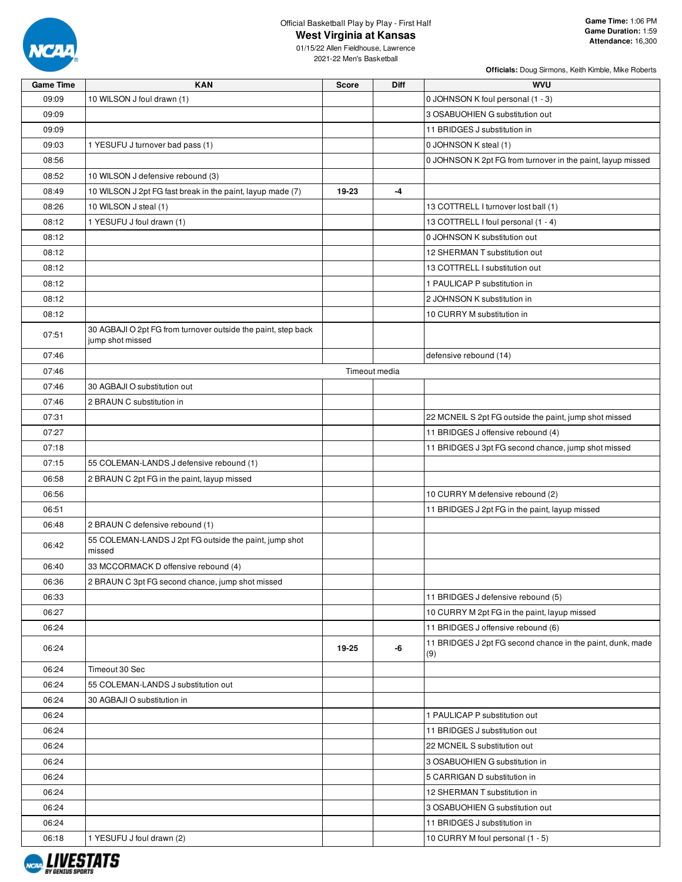

## Official Basketball Play by Play - First Half **West Virginia at Kansas**

01/15/22 Allen Fieldhouse, Lawrence 2021-22 Men's Basketball

| <b>Game Time</b> | <b>KAN</b>                                                                        | Score | Diff          | <b>WVU</b>                                                        |
|------------------|-----------------------------------------------------------------------------------|-------|---------------|-------------------------------------------------------------------|
| 09:09            | 10 WILSON J foul drawn (1)                                                        |       |               | 0 JOHNSON K foul personal (1 - 3)                                 |
| 09:09            |                                                                                   |       |               | 3 OSABUOHIEN G substitution out                                   |
| 09:09            |                                                                                   |       |               | 11 BRIDGES J substitution in                                      |
| 09:03            | 1 YESUFU J turnover bad pass (1)                                                  |       |               | 0 JOHNSON K steal (1)                                             |
| 08:56            |                                                                                   |       |               | 0 JOHNSON K 2pt FG from turnover in the paint, layup missed       |
| 08:52            | 10 WILSON J defensive rebound (3)                                                 |       |               |                                                                   |
| 08:49            | 10 WILSON J 2pt FG fast break in the paint, layup made (7)                        | 19-23 | -4            |                                                                   |
| 08:26            | 10 WILSON J steal (1)                                                             |       |               | 13 COTTRELL I turnover lost ball (1)                              |
| 08:12            | 1 YESUFU J foul drawn (1)                                                         |       |               | 13 COTTRELL I foul personal (1 - 4)                               |
| 08:12            |                                                                                   |       |               | 0 JOHNSON K substitution out                                      |
| 08:12            |                                                                                   |       |               | 12 SHERMAN T substitution out                                     |
| 08:12            |                                                                                   |       |               | 13 COTTRELL I substitution out                                    |
| 08:12            |                                                                                   |       |               | 1 PAULICAP P substitution in                                      |
| 08:12            |                                                                                   |       |               | 2 JOHNSON K substitution in                                       |
| 08:12            |                                                                                   |       |               | 10 CURRY M substitution in                                        |
| 07:51            | 30 AGBAJI O 2pt FG from turnover outside the paint, step back<br>jump shot missed |       |               |                                                                   |
| 07:46            |                                                                                   |       |               | defensive rebound (14)                                            |
| 07:46            |                                                                                   |       | Timeout media |                                                                   |
| 07:46            | 30 AGBAJI O substitution out                                                      |       |               |                                                                   |
| 07:46            | 2 BRAUN C substitution in                                                         |       |               |                                                                   |
| 07:31            |                                                                                   |       |               | 22 MCNEIL S 2pt FG outside the paint, jump shot missed            |
| 07:27            |                                                                                   |       |               | 11 BRIDGES J offensive rebound (4)                                |
| 07:18            |                                                                                   |       |               | 11 BRIDGES J 3pt FG second chance, jump shot missed               |
| 07:15            | 55 COLEMAN-LANDS J defensive rebound (1)                                          |       |               |                                                                   |
| 06:58            | 2 BRAUN C 2pt FG in the paint, layup missed                                       |       |               |                                                                   |
| 06:56            |                                                                                   |       |               | 10 CURRY M defensive rebound (2)                                  |
| 06:51            |                                                                                   |       |               | 11 BRIDGES J 2pt FG in the paint, layup missed                    |
| 06:48            | 2 BRAUN C defensive rebound (1)                                                   |       |               |                                                                   |
| 06:42            | 55 COLEMAN-LANDS J 2pt FG outside the paint, jump shot<br>missed                  |       |               |                                                                   |
| 06:40            | 33 MCCORMACK D offensive rebound (4)                                              |       |               |                                                                   |
| 06:36            | 2 BRAUN C 3pt FG second chance, jump shot missed                                  |       |               |                                                                   |
| 06:33            |                                                                                   |       |               | 11 BRIDGES J defensive rebound (5)                                |
| 06:27            |                                                                                   |       |               | 10 CURRY M 2pt FG in the paint, layup missed                      |
| 06:24            |                                                                                   |       |               | 11 BRIDGES J offensive rebound (6)                                |
| 06:24            |                                                                                   | 19-25 | -6            | 11 BRIDGES J 2pt FG second chance in the paint, dunk, made<br>(9) |
| 06:24            | Timeout 30 Sec                                                                    |       |               |                                                                   |
| 06:24            | 55 COLEMAN-LANDS J substitution out                                               |       |               |                                                                   |
| 06:24            | 30 AGBAJI O substitution in                                                       |       |               |                                                                   |
| 06:24            |                                                                                   |       |               | 1 PAULICAP P substitution out                                     |
| 06:24            |                                                                                   |       |               | 11 BRIDGES J substitution out                                     |
| 06:24            |                                                                                   |       |               | 22 MCNEIL S substitution out                                      |
| 06:24            |                                                                                   |       |               | 3 OSABUOHIEN G substitution in                                    |
| 06:24            |                                                                                   |       |               | 5 CARRIGAN D substitution in                                      |
| 06:24            |                                                                                   |       |               | 12 SHERMAN T substitution in                                      |
| 06:24            |                                                                                   |       |               | 3 OSABUOHIEN G substitution out                                   |
| 06:24            |                                                                                   |       |               | 11 BRIDGES J substitution in                                      |
| 06:18            | 1 YESUFU J foul drawn (2)                                                         |       |               | 10 CURRY M foul personal (1 - 5)                                  |
|                  |                                                                                   |       |               |                                                                   |

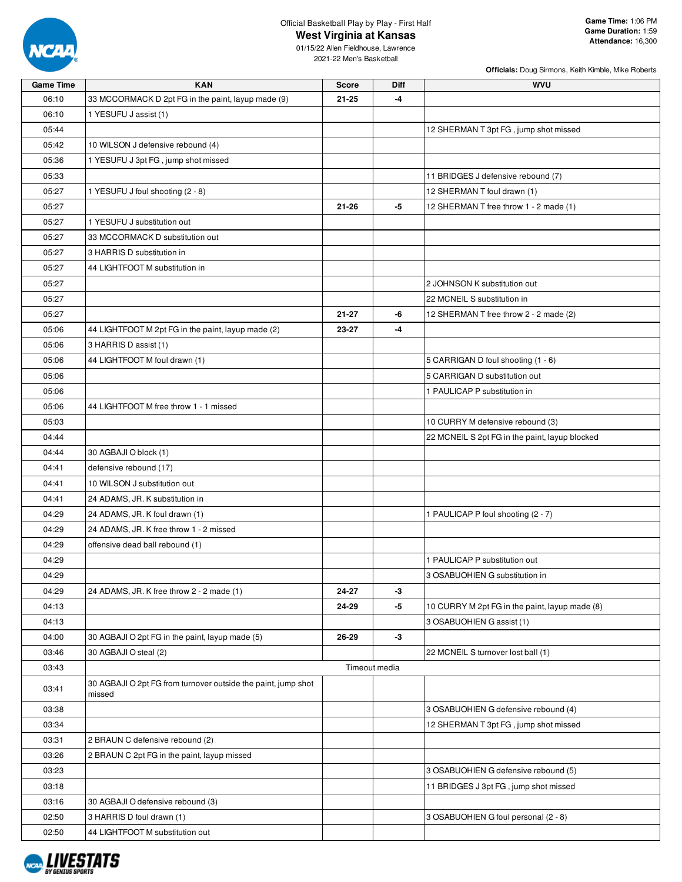

# Official Basketball Play by Play - First Half

**West Virginia at Kansas**

| <b>Game Time</b> | <b>KAN</b>                                                              | <b>Score</b> | Diff          | <b>WVU</b>                                     |
|------------------|-------------------------------------------------------------------------|--------------|---------------|------------------------------------------------|
| 06:10            | 33 MCCORMACK D 2pt FG in the paint, layup made (9)                      | $21 - 25$    | -4            |                                                |
| 06:10            | 1 YESUFU J assist (1)                                                   |              |               |                                                |
| 05:44            |                                                                         |              |               | 12 SHERMAN T 3pt FG, jump shot missed          |
| 05:42            | 10 WILSON J defensive rebound (4)                                       |              |               |                                                |
| 05:36            | 1 YESUFU J 3pt FG, jump shot missed                                     |              |               |                                                |
| 05:33            |                                                                         |              |               | 11 BRIDGES J defensive rebound (7)             |
| 05:27            | 1 YESUFU J foul shooting (2 - 8)                                        |              |               | 12 SHERMAN T foul drawn (1)                    |
| 05:27            |                                                                         | $21 - 26$    | -5            | 12 SHERMAN T free throw 1 - 2 made (1)         |
| 05:27            | 1 YESUFU J substitution out                                             |              |               |                                                |
| 05:27            | 33 MCCORMACK D substitution out                                         |              |               |                                                |
| 05:27            | 3 HARRIS D substitution in                                              |              |               |                                                |
| 05:27            | 44 LIGHTFOOT M substitution in                                          |              |               |                                                |
| 05:27            |                                                                         |              |               | 2 JOHNSON K substitution out                   |
| 05:27            |                                                                         |              |               | 22 MCNEIL S substitution in                    |
| 05:27            |                                                                         | 21-27        | -6            | 12 SHERMAN T free throw 2 - 2 made (2)         |
| 05:06            | 44 LIGHTFOOT M 2pt FG in the paint, layup made (2)                      | 23-27        | $-4$          |                                                |
| 05:06            | 3 HARRIS D assist (1)                                                   |              |               |                                                |
| 05:06            | 44 LIGHTFOOT M foul drawn (1)                                           |              |               | 5 CARRIGAN D foul shooting (1 - 6)             |
| 05:06            |                                                                         |              |               | 5 CARRIGAN D substitution out                  |
| 05:06            |                                                                         |              |               | 1 PAULICAP P substitution in                   |
| 05:06            | 44 LIGHTFOOT M free throw 1 - 1 missed                                  |              |               |                                                |
| 05:03            |                                                                         |              |               | 10 CURRY M defensive rebound (3)               |
| 04:44            |                                                                         |              |               | 22 MCNEIL S 2pt FG in the paint, layup blocked |
| 04:44            | 30 AGBAJI O block (1)                                                   |              |               |                                                |
| 04:41            | defensive rebound (17)                                                  |              |               |                                                |
| 04:41            | 10 WILSON J substitution out                                            |              |               |                                                |
| 04:41            |                                                                         |              |               |                                                |
|                  | 24 ADAMS, JR. K substitution in                                         |              |               |                                                |
| 04:29            | 24 ADAMS, JR. K foul drawn (1)                                          |              |               | 1 PAULICAP P foul shooting (2 - 7)             |
| 04:29            | 24 ADAMS, JR. K free throw 1 - 2 missed                                 |              |               |                                                |
| 04:29            | offensive dead ball rebound (1)                                         |              |               |                                                |
| 04:29            |                                                                         |              |               | 1 PAULICAP P substitution out                  |
| 04:29            |                                                                         |              |               | 3 OSABUOHIEN G substitution in                 |
| 04:29            | 24 ADAMS, JR. K free throw 2 - 2 made (1)                               | 24-27        | $-3$          |                                                |
| 04:13            |                                                                         | 24-29        | -5            | 10 CURRY M 2pt FG in the paint, layup made (8) |
| 04:13            |                                                                         |              |               | 3 OSABUOHIEN G assist (1)                      |
| 04:00            | 30 AGBAJI O 2pt FG in the paint, layup made (5)                         | 26-29        | $-3$          |                                                |
| 03:46            | 30 AGBAJI O steal (2)                                                   |              |               | 22 MCNEIL S turnover lost ball (1)             |
| 03:43            |                                                                         |              | Timeout media |                                                |
| 03:41            | 30 AGBAJI O 2pt FG from turnover outside the paint, jump shot<br>missed |              |               |                                                |
| 03:38            |                                                                         |              |               | 3 OSABUOHIEN G defensive rebound (4)           |
| 03:34            |                                                                         |              |               | 12 SHERMAN T 3pt FG, jump shot missed          |
| 03:31            | 2 BRAUN C defensive rebound (2)                                         |              |               |                                                |
| 03:26            | 2 BRAUN C 2pt FG in the paint, layup missed                             |              |               |                                                |
| 03:23            |                                                                         |              |               | 3 OSABUOHIEN G defensive rebound (5)           |
| 03:18            |                                                                         |              |               | 11 BRIDGES J 3pt FG, jump shot missed          |
| 03:16            | 30 AGBAJI O defensive rebound (3)                                       |              |               |                                                |
| 02:50            | 3 HARRIS D foul drawn (1)                                               |              |               | 3 OSABUOHIEN G foul personal (2 - 8)           |
| 02:50            | 44 LIGHTFOOT M substitution out                                         |              |               |                                                |

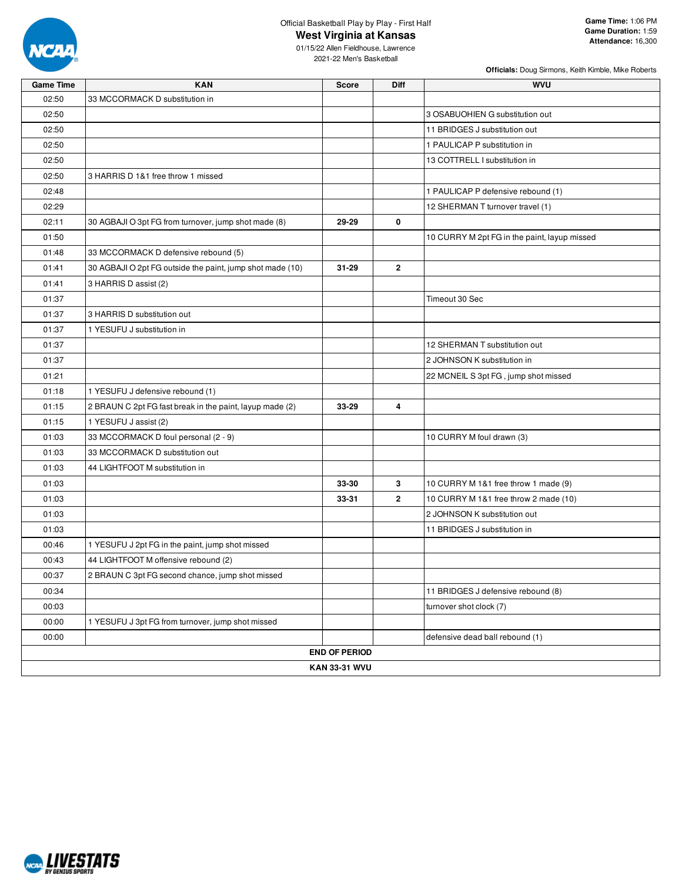

# Official Basketball Play by Play - First Half

**West Virginia at Kansas**

**Officials:** Doug Sirmons, Keith Kimble, Mike Roberts

| <b>Game Time</b> | <b>KAN</b>                                                | <b>Score</b>         | Diff           | <b>WVU</b>                                   |
|------------------|-----------------------------------------------------------|----------------------|----------------|----------------------------------------------|
| 02:50            | 33 MCCORMACK D substitution in                            |                      |                |                                              |
| 02:50            |                                                           |                      |                | 3 OSABUOHIEN G substitution out              |
| 02:50            |                                                           |                      |                | 11 BRIDGES J substitution out                |
| 02:50            |                                                           |                      |                | 1 PAULICAP P substitution in                 |
| 02:50            |                                                           |                      |                | 13 COTTRELL I substitution in                |
| 02:50            | 3 HARRIS D 1&1 free throw 1 missed                        |                      |                |                                              |
| 02:48            |                                                           |                      |                | 1 PAULICAP P defensive rebound (1)           |
| 02:29            |                                                           |                      |                | 12 SHERMAN T turnover travel (1)             |
| 02:11            | 30 AGBAJI O 3pt FG from turnover, jump shot made (8)      | 29-29                | 0              |                                              |
| 01:50            |                                                           |                      |                | 10 CURRY M 2pt FG in the paint, layup missed |
| 01:48            | 33 MCCORMACK D defensive rebound (5)                      |                      |                |                                              |
| 01:41            | 30 AGBAJI O 2pt FG outside the paint, jump shot made (10) | $31 - 29$            | $\overline{2}$ |                                              |
| 01:41            | 3 HARRIS D assist (2)                                     |                      |                |                                              |
| 01:37            |                                                           |                      |                | Timeout 30 Sec                               |
| 01:37            | 3 HARRIS D substitution out                               |                      |                |                                              |
| 01:37            | 1 YESUFU J substitution in                                |                      |                |                                              |
| 01:37            |                                                           |                      |                | 12 SHERMAN T substitution out                |
| 01:37            |                                                           |                      |                | 2 JOHNSON K substitution in                  |
| 01:21            |                                                           |                      |                | 22 MCNEIL S 3pt FG, jump shot missed         |
| 01:18            | 1 YESUFU J defensive rebound (1)                          |                      |                |                                              |
| 01:15            | 2 BRAUN C 2pt FG fast break in the paint, layup made (2)  | 33-29                | 4              |                                              |
| 01:15            | 1 YESUFU J assist (2)                                     |                      |                |                                              |
| 01:03            | 33 MCCORMACK D foul personal (2 - 9)                      |                      |                | 10 CURRY M foul drawn (3)                    |
| 01:03            | 33 MCCORMACK D substitution out                           |                      |                |                                              |
| 01:03            | 44 LIGHTFOOT M substitution in                            |                      |                |                                              |
| 01:03            |                                                           | 33-30                | 3              | 10 CURRY M 1&1 free throw 1 made (9)         |
| 01:03            |                                                           | 33-31                | $\mathbf{2}$   | 10 CURRY M 1&1 free throw 2 made (10)        |
| 01:03            |                                                           |                      |                | 2 JOHNSON K substitution out                 |
| 01:03            |                                                           |                      |                | 11 BRIDGES J substitution in                 |
| 00:46            | 1 YESUFU J 2pt FG in the paint, jump shot missed          |                      |                |                                              |
| 00:43            | 44 LIGHTFOOT M offensive rebound (2)                      |                      |                |                                              |
| 00:37            | 2 BRAUN C 3pt FG second chance, jump shot missed          |                      |                |                                              |
| 00:34            |                                                           |                      |                | 11 BRIDGES J defensive rebound (8)           |
| 00:03            |                                                           |                      |                | turnover shot clock (7)                      |
| 00:00            | 1 YESUFU J 3pt FG from turnover, jump shot missed         |                      |                |                                              |
| 00:00            |                                                           |                      |                | defensive dead ball rebound (1)              |
|                  |                                                           | <b>END OF PERIOD</b> |                |                                              |
|                  |                                                           | <b>KAN 33-31 WVU</b> |                |                                              |

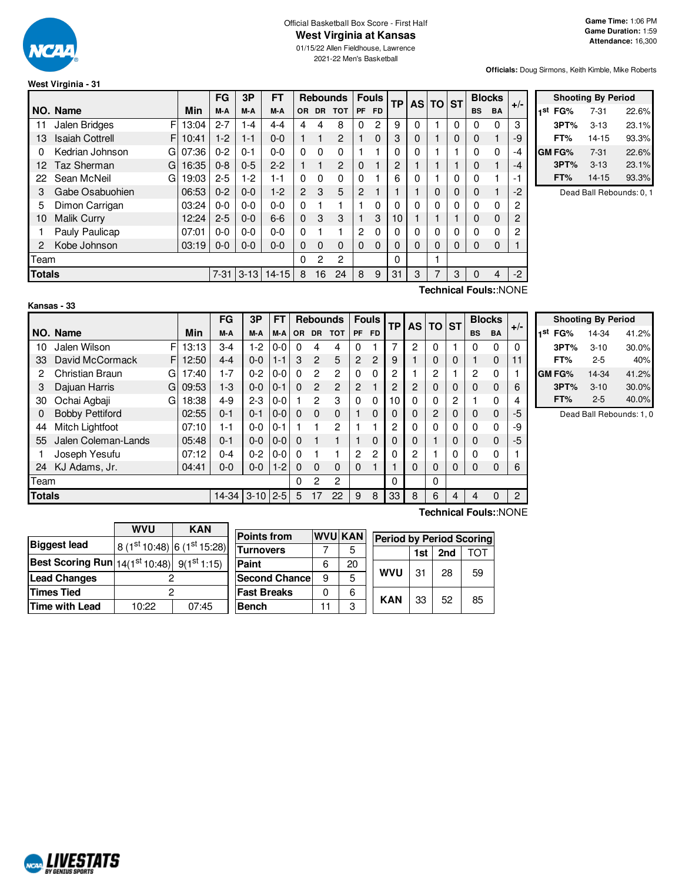

#### Official Basketball Box Score - First Half **West Virginia at Kansas**

01/15/22 Allen Fieldhouse, Lawrence 2021-22 Men's Basketball

**Officials:** Doug Sirmons, Keith Kimble, Mike Roberts

# **West Virginia - 31**

|               |                             | FG<br>3P<br><b>FT</b><br><b>Rebounds</b> |          |          | <b>Fouls</b> |                | <b>TP</b> |                | AS TO ST       |           |          | <b>Blocks</b> |             |          |              |                       |      |
|---------------|-----------------------------|------------------------------------------|----------|----------|--------------|----------------|-----------|----------------|----------------|-----------|----------|---------------|-------------|----------|--------------|-----------------------|------|
|               | NO. Name                    | Min                                      | M-A      | M-A      | M-A          | <b>OR</b>      | <b>DR</b> | <b>TOT</b>     | PF             | <b>FD</b> |          |               |             |          | <b>BS</b>    | BA                    | +/-  |
| 11            | Jalen Bridges<br>F          | 13:04                                    | $2 - 7$  | $1 - 4$  | 4-4          | 4              | 4         | 8              | 0              | 2         | 9        | 0             |             | 0        | 0            | $\Omega$              | 3    |
| 13            | <b>Isaiah Cottrell</b><br>F | 10:41                                    | $1-2$    | $1 - 1$  | $0 - 0$      |                |           | $\overline{2}$ |                | 0         | 3        | 0             |             | 0        | 0            |                       | -9   |
| 0             | Kedrian Johnson<br>G        | 07:36                                    | $0 - 2$  | $0 - 1$  | $0 - 0$      | $\Omega$       | $\Omega$  | $\Omega$       |                |           | 0        | 0             |             |          | 0            | $\Omega$              | -4   |
| 12            | Taz Sherman<br>G            | 16:35                                    | $0 - 8$  | $0 - 5$  | $2 - 2$      |                |           | $\overline{2}$ | $\Omega$       |           | 2        |               |             |          | 0            |                       | -4   |
| 22            | Sean McNeil<br>G            | 19:03                                    | $2 - 5$  | $1-2$    | 1-1          | $\Omega$       | $\Omega$  | 0              | $\Omega$       |           | 6        | 0             |             | $\Omega$ | $\mathbf{0}$ |                       | -1   |
| 3             | Gabe Osabuohien             | 06:53                                    | $0 - 2$  | $0 - 0$  | $1-2$        | $\overline{2}$ | 3         | 5              | $\overline{c}$ |           |          |               | $\Omega$    | 0        | 0            |                       | -2   |
| 5             | Dimon Carrigan              | 03:24                                    | $0 - 0$  | $0 - 0$  | $0 - 0$      | $\Omega$       |           |                |                | $\Omega$  | 0        | 0             | $\mathbf 0$ | $\Omega$ | 0            | $\Omega$              | 2    |
| 10            | <b>Malik Curry</b>          | 12:24                                    | $2 - 5$  | $0 - 0$  | $6-6$        | $\Omega$       | 3         | 3              |                | 3         | 10       |               |             |          | 0            | 0                     | 2    |
|               | Pauly Paulicap              | 07:01                                    | $0 - 0$  | $0 - 0$  | $0 - 0$      | $\Omega$       |           |                | $\mathbf{2}$   | 0         | 0        | 0             | 0           | 0        | 0            | $\Omega$              | 2    |
| 2             | Kobe Johnson                | 03:19                                    | $0-0$    | $0 - 0$  | $0 - 0$      | $\Omega$       | $\Omega$  | $\Omega$       | $\Omega$       | 0         | $\Omega$ | 0             | $\Omega$    | 0        | $\mathbf{0}$ | $\Omega$              |      |
| Team          |                             |                                          |          |          |              | 0              | 2         | $\mathbf{2}$   |                |           | 0        |               |             |          |              |                       |      |
| <b>Totals</b> |                             |                                          | $7 - 31$ | $3 - 13$ | $14 - 15$    | 8              | 16        | 24             | 8              | 9         | 31       | 3             | 7           | 3        | $\mathbf 0$  | 4                     | $-2$ |
|               |                             |                                          |          |          |              |                |           |                |                |           |          |               |             |          |              | Toobnical Foule: NONE |      |

|     | <b>Shooting By Period</b> |          |       |  |  |  |  |  |
|-----|---------------------------|----------|-------|--|--|--|--|--|
| 1st | FG%                       | $7 - 31$ | 22.6% |  |  |  |  |  |
|     | 3PT%                      | $3 - 13$ | 23.1% |  |  |  |  |  |
|     | FT%                       | 14-15    | 93.3% |  |  |  |  |  |
|     | GM FG%                    | $7-31$   | 22.6% |  |  |  |  |  |
|     | 3PT%                      | $3 - 13$ | 23.1% |  |  |  |  |  |
|     | FT%                       | 14-15    | 93.3% |  |  |  |  |  |

Dead Ball Rebounds: 0, 1

| Kansas |  |
|--------|--|
|--------|--|

**Technical Fouls:**:NONE

|               |                        |   |       | FG      | 3P       | FT      |          |                | <b>Rebounds</b> |           | <b>Fouls</b>   | TP             | AS I         | <b>TO</b>      | <b>ST</b> |           | <b>Blocks</b> | $+/-$ |
|---------------|------------------------|---|-------|---------|----------|---------|----------|----------------|-----------------|-----------|----------------|----------------|--------------|----------------|-----------|-----------|---------------|-------|
|               | NO. Name               |   | Min   | M-A     | M-A      | M-A     | OR.      | <b>DR</b>      | <b>TOT</b>      | <b>PF</b> | <b>FD</b>      |                |              |                |           | <b>BS</b> | <b>BA</b>     |       |
| 10            | Jalen Wilson           | F | 13:13 | $3 - 4$ | $1-2$    | 0-0     | 0        | 4              | 4               |           |                | 7              | $\mathbf{2}$ | 0              |           | 0         | $\Omega$      | 0     |
| 33            | David McCormack        | F | 12:50 | $4 - 4$ | $0-0$    | $1 - 1$ | 3        | $\overline{2}$ | 5               | 2         | $\overline{2}$ | 9              |              | 0              | 0         |           | $\Omega$      | 11    |
| 2             | Christian Braun        | G | 17:40 | $1 - 7$ | $0 - 2$  | $0 - 0$ | 0        | $\overline{2}$ | $\overline{c}$  | 0         | 0              | 2              |              | $\overline{c}$ |           | 2         | 0             |       |
| 3             | Dajuan Harris          | G | 09:53 | $1-3$   | $0 - 0$  | 0-1     | $\Omega$ | $\overline{2}$ | $\overline{2}$  | 2         |                | 2              | 2            | $\Omega$       | 0         | 0         | $\Omega$      | 6     |
| 30            | Ochai Agbaji           | G | 18:38 | $4-9$   | $2 - 3$  | 0-0     |          | 2              | 3               | $\Omega$  | $\Omega$       | 10             | 0            | $\Omega$       | 2         |           | $\Omega$      | 4     |
| 0             | <b>Bobby Pettiford</b> |   | 02:55 | $0 - 1$ | $0 - 1$  | $0 - 0$ | $\Omega$ | $\Omega$       | $\Omega$        |           | $\Omega$       | 0              | 0            | $\overline{2}$ | $\Omega$  | 0         | $\Omega$      | -5    |
| 44            | Mitch Lightfoot        |   | 07:10 | 1-1     | $0 - 0$  | 0-1     |          |                | $\overline{2}$  |           |                | $\overline{2}$ | $\Omega$     | $\Omega$       | 0         | $\Omega$  | $\Omega$      | -9    |
| 55            | Jalen Coleman-Lands    |   | 05:48 | $0 - 1$ | $0-0$    | $0-0$   | $\Omega$ |                | 1               |           | $\Omega$       | $\Omega$       | 0            | 1              | 0         | 0         | $\Omega$      | -5    |
|               | Joseph Yesufu          |   | 07:12 | $0 - 4$ | $0 - 2$  | 0-0     | 0        |                |                 | 2         | 2              | 0              | 2            |                | 0         | $\Omega$  | $\Omega$      |       |
| 24            | KJ Adams, Jr.          |   | 04:41 | $0 - 0$ | 0-0      | $1 - 2$ | $\Omega$ | $\Omega$       | $\Omega$        | 0         |                |                | 0            | 0              | 0         | 0         | $\Omega$      | 6     |
| Team          |                        |   |       |         |          |         | 0        | 2              | 2               |           |                | 0              |              | 0              |           |           |               |       |
| <b>Totals</b> |                        |   |       | $14-34$ | $3 - 10$ | $2 - 5$ | 5        | 17             | 22              | 9         | 8              | 33             | 8            | 6              | 4         | 4         |               | 2     |

|     | <b>Shooting By Period</b> |          |       |  |  |  |  |  |
|-----|---------------------------|----------|-------|--|--|--|--|--|
| 1st | FG%                       | 14-34    | 41.2% |  |  |  |  |  |
|     | 3PT%                      | $3 - 10$ | 30.0% |  |  |  |  |  |
|     | FT%                       | $2 - 5$  | 40%   |  |  |  |  |  |
|     | GM FG%                    | 14-34    | 41.2% |  |  |  |  |  |
|     | 3PT%                      | $3 - 10$ | 30.0% |  |  |  |  |  |
|     | FT%                       | $2 - 5$  | 40.0% |  |  |  |  |  |

Dead Ball Rebounds: 1, 0

|                                                                     | <b>WVU</b>                  | <b>KAN</b> |    |  |  |  |  |  |
|---------------------------------------------------------------------|-----------------------------|------------|----|--|--|--|--|--|
| <b>Biggest lead</b>                                                 | 8 (1st 10:48) 6 (1st 15:28) |            | Гι |  |  |  |  |  |
| <b>Best Scoring Run</b> $ 14(1^{st}10:48) $ 9(1 <sup>st</sup> 1:15) |                             |            | Pa |  |  |  |  |  |
| <b>Lead Changes</b>                                                 |                             |            |    |  |  |  |  |  |
| <b>Times Tied</b>                                                   |                             |            |    |  |  |  |  |  |
| Time with Lead                                                      | 10:22                       | 07:45      | Βı |  |  |  |  |  |

|    |                       | <b>Period by Period Scoring</b>            |          |     |  |  |  |  |  |
|----|-----------------------|--------------------------------------------|----------|-----|--|--|--|--|--|
|    | 5                     | 1st                                        | 2nd      | ГΩ. |  |  |  |  |  |
| 6  | 20                    |                                            | 28       |     |  |  |  |  |  |
| 9  | 5                     |                                            |          | 59  |  |  |  |  |  |
|    | 6                     |                                            |          |     |  |  |  |  |  |
| 11 | 3                     |                                            |          | 85  |  |  |  |  |  |
|    | <b>Second Chancel</b> | <b>WVU KAN</b><br><b>WVU</b><br><b>KAN</b> | 31<br>33 | 52  |  |  |  |  |  |

**Technical Fouls:**:NONE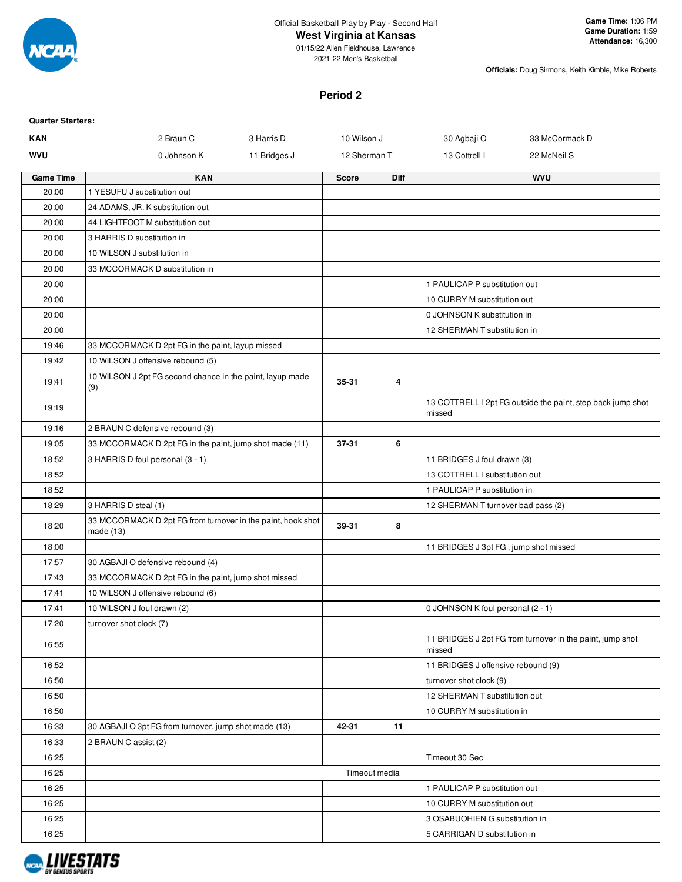

# **West Virginia at Kansas**

01/15/22 Allen Fieldhouse, Lawrence 2021-22 Men's Basketball

**Officials:** Doug Sirmons, Keith Kimble, Mike Roberts

## **Period 2**

| <b>Quarter Starters:</b> |                                                                            |              |              |               |                                       |                                                             |
|--------------------------|----------------------------------------------------------------------------|--------------|--------------|---------------|---------------------------------------|-------------------------------------------------------------|
| <b>KAN</b>               | 2 Braun C                                                                  | 3 Harris D   | 10 Wilson J  |               | 30 Agbaji O                           | 33 McCormack D                                              |
| <b>WVU</b>               | 0 Johnson K                                                                | 11 Bridges J | 12 Sherman T |               | 13 Cottrell I                         | 22 McNeil S                                                 |
| <b>Game Time</b>         | <b>KAN</b>                                                                 |              | <b>Score</b> | <b>Diff</b>   |                                       | <b>WVU</b>                                                  |
| 20:00                    | 1 YESUFU J substitution out                                                |              |              |               |                                       |                                                             |
| 20:00                    | 24 ADAMS, JR. K substitution out                                           |              |              |               |                                       |                                                             |
| 20:00                    | 44 LIGHTFOOT M substitution out                                            |              |              |               |                                       |                                                             |
| 20:00                    | 3 HARRIS D substitution in                                                 |              |              |               |                                       |                                                             |
| 20:00                    | 10 WILSON J substitution in                                                |              |              |               |                                       |                                                             |
| 20:00                    | 33 MCCORMACK D substitution in                                             |              |              |               |                                       |                                                             |
| 20:00                    |                                                                            |              |              |               | 1 PAULICAP P substitution out         |                                                             |
| 20:00                    |                                                                            |              |              |               | 10 CURRY M substitution out           |                                                             |
| 20:00                    |                                                                            |              |              |               | 0 JOHNSON K substitution in           |                                                             |
| 20:00                    |                                                                            |              |              |               | 12 SHERMAN T substitution in          |                                                             |
| 19:46                    | 33 MCCORMACK D 2pt FG in the paint, layup missed                           |              |              |               |                                       |                                                             |
| 19:42                    | 10 WILSON J offensive rebound (5)                                          |              |              |               |                                       |                                                             |
| 19:41                    | 10 WILSON J 2pt FG second chance in the paint, layup made<br>(9)           |              | 35-31        | 4             |                                       |                                                             |
| 19:19                    |                                                                            |              |              |               | missed                                | 13 COTTRELL I 2pt FG outside the paint, step back jump shot |
| 19:16                    | 2 BRAUN C defensive rebound (3)                                            |              |              |               |                                       |                                                             |
| 19:05                    | 33 MCCORMACK D 2pt FG in the paint, jump shot made (11)                    |              | 37-31        | 6             |                                       |                                                             |
| 18:52                    | 3 HARRIS D foul personal (3 - 1)                                           |              |              |               | 11 BRIDGES J foul drawn (3)           |                                                             |
| 18:52                    |                                                                            |              |              |               | 13 COTTRELL I substitution out        |                                                             |
| 18:52                    |                                                                            |              |              |               | 1 PAULICAP P substitution in          |                                                             |
| 18:29                    | 3 HARRIS D steal (1)                                                       |              |              |               | 12 SHERMAN T turnover bad pass (2)    |                                                             |
| 18:20                    | 33 MCCORMACK D 2pt FG from turnover in the paint, hook shot<br>made $(13)$ |              | 39-31        | 8             |                                       |                                                             |
| 18:00                    |                                                                            |              |              |               | 11 BRIDGES J 3pt FG, jump shot missed |                                                             |
| 17:57                    | 30 AGBAJI O defensive rebound (4)                                          |              |              |               |                                       |                                                             |
| 17:43                    | 33 MCCORMACK D 2pt FG in the paint, jump shot missed                       |              |              |               |                                       |                                                             |
| 17:41                    | 10 WILSON J offensive rebound (6)                                          |              |              |               |                                       |                                                             |
| 17:41                    | 10 WILSON J foul drawn (2)                                                 |              |              |               | 0 JOHNSON K foul personal (2 - 1)     |                                                             |
| 17:20                    | turnover shot clock (7)                                                    |              |              |               |                                       |                                                             |
| 16:55                    |                                                                            |              |              |               | missed                                | 11 BRIDGES J 2pt FG from turnover in the paint, jump shot   |
| 16:52                    |                                                                            |              |              |               | 11 BRIDGES J offensive rebound (9)    |                                                             |
| 16:50                    |                                                                            |              |              |               | turnover shot clock (9)               |                                                             |
| 16:50                    |                                                                            |              |              |               | 12 SHERMAN T substitution out         |                                                             |
| 16:50                    |                                                                            |              |              |               | 10 CURRY M substitution in            |                                                             |
| 16:33                    | 30 AGBAJI O 3pt FG from turnover, jump shot made (13)                      |              | 42-31        | 11            |                                       |                                                             |
| 16:33                    | 2 BRAUN C assist (2)                                                       |              |              |               |                                       |                                                             |
| 16:25                    |                                                                            |              |              |               | Timeout 30 Sec                        |                                                             |
| 16:25                    |                                                                            |              |              | Timeout media |                                       |                                                             |
| 16:25                    |                                                                            |              |              |               | 1 PAULICAP P substitution out         |                                                             |
| 16:25                    |                                                                            |              |              |               | 10 CURRY M substitution out           |                                                             |
| 16:25                    |                                                                            |              |              |               | 3 OSABUOHIEN G substitution in        |                                                             |
| 16:25                    |                                                                            |              |              |               | 5 CARRIGAN D substitution in          |                                                             |

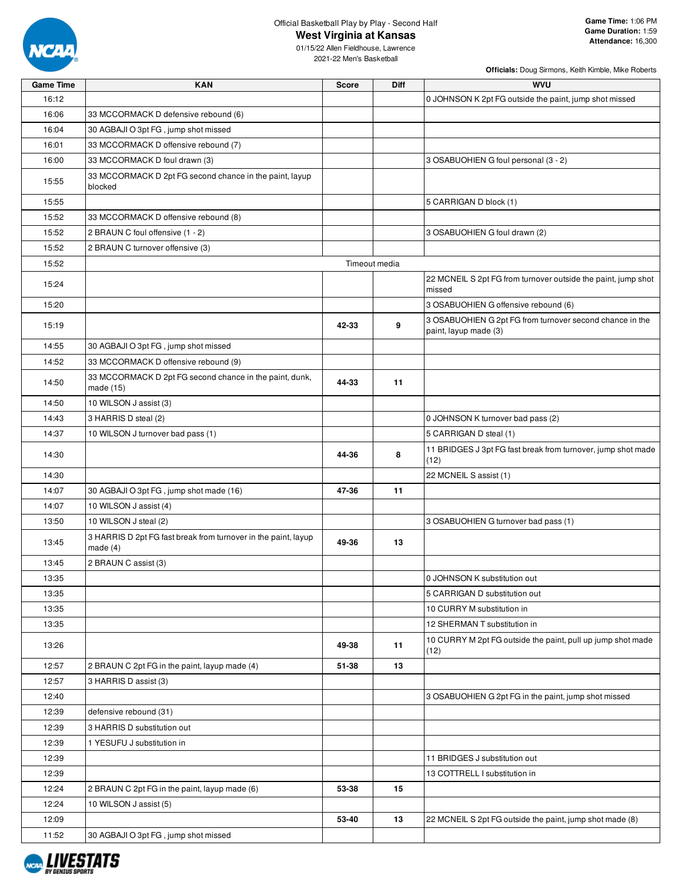

**West Virginia at Kansas**

**Officials:** Doug Sirmons, Keith Kimble, Mike Roberts

2021-22 Men's Basketball

| <b>Game Time</b> | <b>KAN</b>                                                                   | Score | Diff          | wvu                                                                               |
|------------------|------------------------------------------------------------------------------|-------|---------------|-----------------------------------------------------------------------------------|
| 16:12            |                                                                              |       |               | 0 JOHNSON K 2pt FG outside the paint, jump shot missed                            |
| 16:06            | 33 MCCORMACK D defensive rebound (6)                                         |       |               |                                                                                   |
| 16:04            | 30 AGBAJI O 3pt FG, jump shot missed                                         |       |               |                                                                                   |
| 16:01            | 33 MCCORMACK D offensive rebound (7)                                         |       |               |                                                                                   |
| 16:00            | 33 MCCORMACK D foul drawn (3)                                                |       |               | 3 OSABUOHIEN G foul personal (3 - 2)                                              |
| 15:55            | 33 MCCORMACK D 2pt FG second chance in the paint, layup<br>blocked           |       |               |                                                                                   |
| 15:55            |                                                                              |       |               | 5 CARRIGAN D block (1)                                                            |
| 15:52            | 33 MCCORMACK D offensive rebound (8)                                         |       |               |                                                                                   |
| 15:52            | 2 BRAUN C foul offensive (1 - 2)                                             |       |               | 3 OSABUOHIEN G foul drawn (2)                                                     |
| 15:52            | 2 BRAUN C turnover offensive (3)                                             |       |               |                                                                                   |
| 15:52            |                                                                              |       | Timeout media |                                                                                   |
| 15:24            |                                                                              |       |               | 22 MCNEIL S 2pt FG from turnover outside the paint, jump shot<br>missed           |
| 15:20            |                                                                              |       |               | 3 OSABUOHIEN G offensive rebound (6)                                              |
| 15:19            |                                                                              | 42-33 | 9             | 3 OSABUOHIEN G 2pt FG from turnover second chance in the<br>paint, layup made (3) |
| 14:55            | 30 AGBAJI O 3pt FG, jump shot missed                                         |       |               |                                                                                   |
| 14:52            | 33 MCCORMACK D offensive rebound (9)                                         |       |               |                                                                                   |
| 14:50            | 33 MCCORMACK D 2pt FG second chance in the paint, dunk,<br>made (15)         | 44-33 | 11            |                                                                                   |
| 14:50            | 10 WILSON J assist (3)                                                       |       |               |                                                                                   |
| 14:43            | 3 HARRIS D steal (2)                                                         |       |               | 0 JOHNSON K turnover bad pass (2)                                                 |
| 14:37            | 10 WILSON J turnover bad pass (1)                                            |       |               | 5 CARRIGAN D steal (1)                                                            |
| 14:30            |                                                                              | 44-36 | 8             | 11 BRIDGES J 3pt FG fast break from turnover, jump shot made<br>(12)              |
| 14:30            |                                                                              |       |               | 22 MCNEIL S assist (1)                                                            |
| 14:07            | 30 AGBAJI O 3pt FG, jump shot made (16)                                      | 47-36 | 11            |                                                                                   |
| 14:07            | 10 WILSON J assist (4)                                                       |       |               |                                                                                   |
| 13:50            | 10 WILSON J steal (2)                                                        |       |               | 3 OSABUOHIEN G turnover bad pass (1)                                              |
| 13:45            | 3 HARRIS D 2pt FG fast break from turnover in the paint, layup<br>made $(4)$ | 49-36 | 13            |                                                                                   |
| 13:45            | 2 BRAUN C assist (3)                                                         |       |               |                                                                                   |
| 13:35            |                                                                              |       |               | 0 JOHNSON K substitution out                                                      |
| 13:35            |                                                                              |       |               | 5 CARRIGAN D substitution out                                                     |
| 13:35            |                                                                              |       |               | 10 CURRY M substitution in                                                        |
| 13:35            |                                                                              |       |               | 12 SHERMAN T substitution in                                                      |
| 13:26            |                                                                              | 49-38 | 11            | 10 CURRY M 2pt FG outside the paint, pull up jump shot made<br>(12)               |
| 12:57            | 2 BRAUN C 2pt FG in the paint, layup made (4)                                | 51-38 | 13            |                                                                                   |
| 12:57            | 3 HARRIS D assist (3)                                                        |       |               |                                                                                   |
| 12:40            |                                                                              |       |               | 3 OSABUOHIEN G 2pt FG in the paint, jump shot missed                              |
| 12:39            | defensive rebound (31)                                                       |       |               |                                                                                   |
| 12:39            | 3 HARRIS D substitution out                                                  |       |               |                                                                                   |
| 12:39            | 1 YESUFU J substitution in                                                   |       |               |                                                                                   |
| 12:39            |                                                                              |       |               | 11 BRIDGES J substitution out                                                     |
| 12:39            |                                                                              |       |               | 13 COTTRELL I substitution in                                                     |
| 12:24            | 2 BRAUN C 2pt FG in the paint, layup made (6)                                | 53-38 | 15            |                                                                                   |
| 12:24            | 10 WILSON J assist (5)                                                       |       |               |                                                                                   |
| 12:09            |                                                                              | 53-40 | 13            | 22 MCNEIL S 2pt FG outside the paint, jump shot made (8)                          |
| 11:52            | 30 AGBAJI O 3pt FG, jump shot missed                                         |       |               |                                                                                   |
|                  |                                                                              |       |               |                                                                                   |

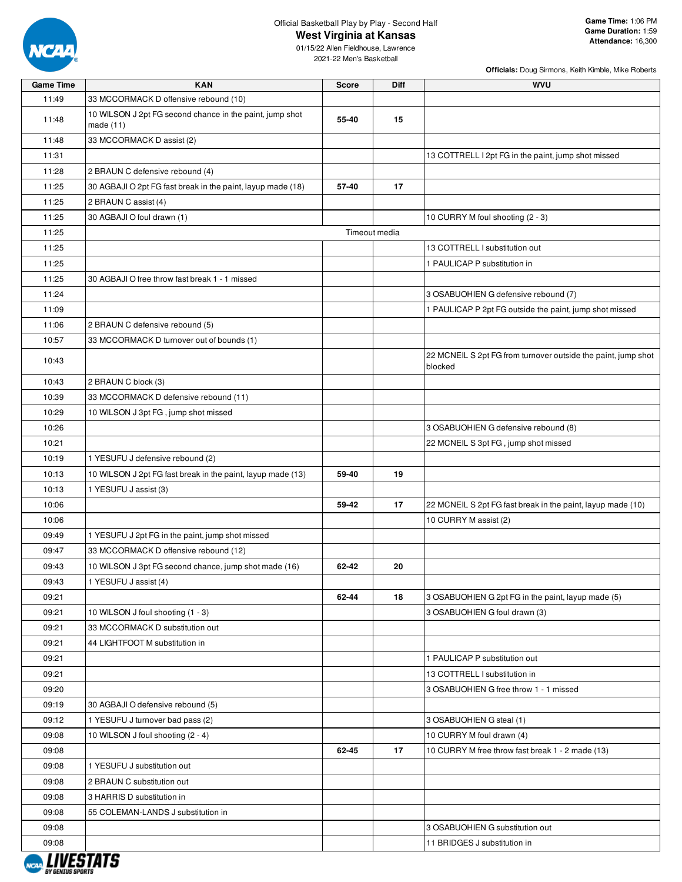

# **West Virginia at Kansas**

2021-22 Men's Basketball

| <b>Game Time</b> | <b>KAN</b>                                                              | <b>Score</b> | <b>Diff</b>   | <b>WVU</b>                                                               |
|------------------|-------------------------------------------------------------------------|--------------|---------------|--------------------------------------------------------------------------|
| 11:49            | 33 MCCORMACK D offensive rebound (10)                                   |              |               |                                                                          |
| 11:48            | 10 WILSON J 2pt FG second chance in the paint, jump shot<br>made $(11)$ | 55-40        | 15            |                                                                          |
| 11:48            | 33 MCCORMACK D assist (2)                                               |              |               |                                                                          |
| 11:31            |                                                                         |              |               | 13 COTTRELL I 2pt FG in the paint, jump shot missed                      |
| 11:28            | 2 BRAUN C defensive rebound (4)                                         |              |               |                                                                          |
| 11:25            | 30 AGBAJI O 2pt FG fast break in the paint, layup made (18)             | 57-40        | 17            |                                                                          |
| 11:25            | 2 BRAUN C assist (4)                                                    |              |               |                                                                          |
| 11:25            | 30 AGBAJI O foul drawn (1)                                              |              |               | 10 CURRY M foul shooting (2 - 3)                                         |
| 11:25            |                                                                         |              | Timeout media |                                                                          |
| 11:25            |                                                                         |              |               | 13 COTTRELL I substitution out                                           |
| 11:25            |                                                                         |              |               | 1 PAULICAP P substitution in                                             |
| 11:25            | 30 AGBAJI O free throw fast break 1 - 1 missed                          |              |               |                                                                          |
| 11:24            |                                                                         |              |               | 3 OSABUOHIEN G defensive rebound (7)                                     |
| 11:09            |                                                                         |              |               | 1 PAULICAP P 2pt FG outside the paint, jump shot missed                  |
| 11:06            |                                                                         |              |               |                                                                          |
|                  | 2 BRAUN C defensive rebound (5)                                         |              |               |                                                                          |
| 10:57            | 33 MCCORMACK D turnover out of bounds (1)                               |              |               |                                                                          |
| 10:43            |                                                                         |              |               | 22 MCNEIL S 2pt FG from turnover outside the paint, jump shot<br>blocked |
| 10:43            | 2 BRAUN C block (3)                                                     |              |               |                                                                          |
| 10:39            | 33 MCCORMACK D defensive rebound (11)                                   |              |               |                                                                          |
| 10:29            | 10 WILSON J 3pt FG, jump shot missed                                    |              |               |                                                                          |
| 10:26            |                                                                         |              |               | 3 OSABUOHIEN G defensive rebound (8)                                     |
| 10:21            |                                                                         |              |               | 22 MCNEIL S 3pt FG, jump shot missed                                     |
| 10:19            | 1 YESUFU J defensive rebound (2)                                        |              |               |                                                                          |
| 10:13            | 10 WILSON J 2pt FG fast break in the paint, layup made (13)             | 59-40        | 19            |                                                                          |
| 10:13            | 1 YESUFU J assist (3)                                                   |              |               |                                                                          |
| 10:06            |                                                                         | 59-42        | 17            | 22 MCNEIL S 2pt FG fast break in the paint, layup made (10)              |
| 10:06            |                                                                         |              |               | 10 CURRY M assist (2)                                                    |
| 09:49            | 1 YESUFU J 2pt FG in the paint, jump shot missed                        |              |               |                                                                          |
| 09:47            | 33 MCCORMACK D offensive rebound (12)                                   |              |               |                                                                          |
| 09:43            | 10 WILSON J 3pt FG second chance, jump shot made (16)                   | 62-42        | 20            |                                                                          |
| 09:43            | 1 YESUFU J assist (4)                                                   |              |               |                                                                          |
| 09:21            |                                                                         | 62-44        | 18            | 3 OSABUOHIEN G 2pt FG in the paint, layup made (5)                       |
| 09:21            | 10 WILSON J foul shooting (1 - 3)                                       |              |               | 3 OSABUOHIEN G foul drawn (3)                                            |
| 09:21            | 33 MCCORMACK D substitution out                                         |              |               |                                                                          |
| 09:21            | 44 LIGHTFOOT M substitution in                                          |              |               |                                                                          |
| 09:21            |                                                                         |              |               | 1 PAULICAP P substitution out                                            |
| 09:21            |                                                                         |              |               | 13 COTTRELL I substitution in                                            |
| 09:20            |                                                                         |              |               | 3 OSABUOHIEN G free throw 1 - 1 missed                                   |
| 09:19            | 30 AGBAJI O defensive rebound (5)                                       |              |               |                                                                          |
| 09:12            | 1 YESUFU J turnover bad pass (2)                                        |              |               | 3 OSABUOHIEN G steal (1)                                                 |
| 09:08            | 10 WILSON J foul shooting (2 - 4)                                       |              |               | 10 CURRY M foul drawn (4)                                                |
| 09:08            |                                                                         | 62-45        | 17            | 10 CURRY M free throw fast break 1 - 2 made (13)                         |
| 09:08            | 1 YESUFU J substitution out                                             |              |               |                                                                          |
| 09:08            | 2 BRAUN C substitution out                                              |              |               |                                                                          |
| 09:08            | 3 HARRIS D substitution in                                              |              |               |                                                                          |
| 09:08            | 55 COLEMAN-LANDS J substitution in                                      |              |               |                                                                          |
| 09:08            |                                                                         |              |               | 3 OSABUOHIEN G substitution out                                          |
| 09:08            |                                                                         |              |               | 11 BRIDGES J substitution in                                             |
|                  |                                                                         |              |               |                                                                          |

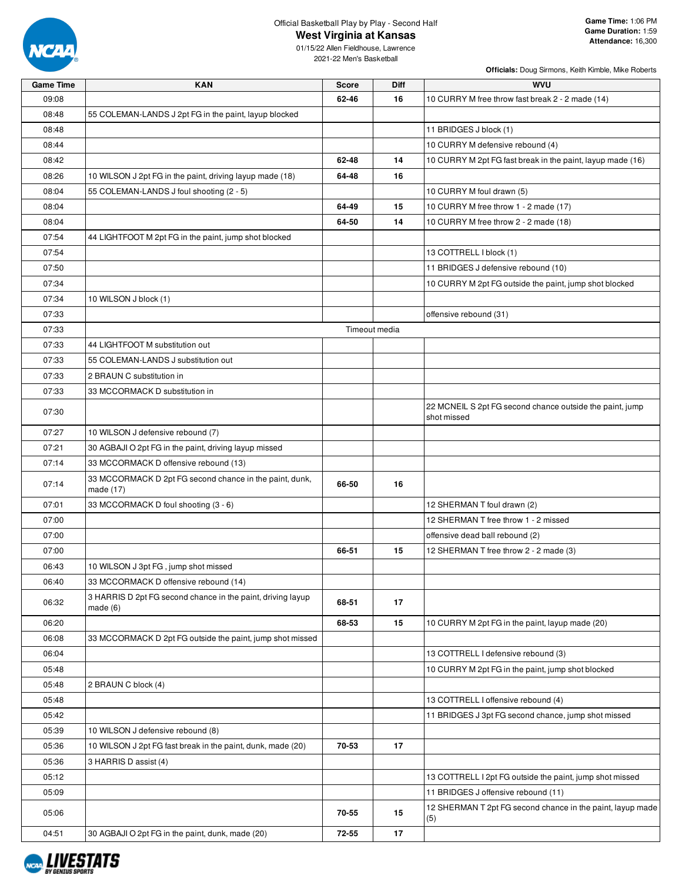

**West Virginia at Kansas**

01/15/22 Allen Fieldhouse, Lawrence 2021-22 Men's Basketball

| <b>Game Time</b> | <b>KAN</b>                                                             | <b>Score</b> | <b>Diff</b>   | <b>WVU</b>                                                        |
|------------------|------------------------------------------------------------------------|--------------|---------------|-------------------------------------------------------------------|
| 09:08            |                                                                        | 62-46        | 16            | 10 CURRY M free throw fast break 2 - 2 made (14)                  |
| 08:48            | 55 COLEMAN-LANDS J 2pt FG in the paint, layup blocked                  |              |               |                                                                   |
| 08:48            |                                                                        |              |               | 11 BRIDGES J block (1)                                            |
| 08:44            |                                                                        |              |               | 10 CURRY M defensive rebound (4)                                  |
| 08:42            |                                                                        | 62-48        | 14            | 10 CURRY M 2pt FG fast break in the paint, layup made (16)        |
| 08:26            | 10 WILSON J 2pt FG in the paint, driving layup made (18)               | 64-48        | 16            |                                                                   |
| 08:04            | 55 COLEMAN-LANDS J foul shooting (2 - 5)                               |              |               | 10 CURRY M foul drawn (5)                                         |
| 08:04            |                                                                        | 64-49        | 15            | 10 CURRY M free throw 1 - 2 made (17)                             |
| 08:04            |                                                                        | 64-50        | 14            | 10 CURRY M free throw 2 - 2 made (18)                             |
| 07:54            | 44 LIGHTFOOT M 2pt FG in the paint, jump shot blocked                  |              |               |                                                                   |
| 07:54            |                                                                        |              |               | 13 COTTRELL I block (1)                                           |
| 07:50            |                                                                        |              |               | 11 BRIDGES J defensive rebound (10)                               |
| 07:34            |                                                                        |              |               | 10 CURRY M 2pt FG outside the paint, jump shot blocked            |
| 07:34            | 10 WILSON J block (1)                                                  |              |               |                                                                   |
| 07:33            |                                                                        |              |               | offensive rebound (31)                                            |
| 07:33            |                                                                        |              | Timeout media |                                                                   |
| 07:33            | 44 LIGHTFOOT M substitution out                                        |              |               |                                                                   |
| 07:33            | 55 COLEMAN-LANDS J substitution out                                    |              |               |                                                                   |
| 07:33            | 2 BRAUN C substitution in                                              |              |               |                                                                   |
| 07:33            | 33 MCCORMACK D substitution in                                         |              |               |                                                                   |
|                  |                                                                        |              |               | 22 MCNEIL S 2pt FG second chance outside the paint, jump          |
| 07:30            |                                                                        |              |               | shot missed                                                       |
| 07:27            | 10 WILSON J defensive rebound (7)                                      |              |               |                                                                   |
| 07:21            | 30 AGBAJI O 2pt FG in the paint, driving layup missed                  |              |               |                                                                   |
| 07:14            | 33 MCCORMACK D offensive rebound (13)                                  |              |               |                                                                   |
| 07:14            | 33 MCCORMACK D 2pt FG second chance in the paint, dunk,<br>made (17)   | 66-50        | 16            |                                                                   |
| 07:01            | 33 MCCORMACK D foul shooting (3 - 6)                                   |              |               | 12 SHERMAN T foul drawn (2)                                       |
| 07:00            |                                                                        |              |               | 12 SHERMAN T free throw 1 - 2 missed                              |
| 07:00            |                                                                        |              |               | offensive dead ball rebound (2)                                   |
| 07:00            |                                                                        | 66-51        | 15            | 12 SHERMAN T free throw 2 - 2 made (3)                            |
| 06:43            | 10 WILSON J 3pt FG, jump shot missed                                   |              |               |                                                                   |
| 06:40            | 33 MCCORMACK D offensive rebound (14)                                  |              |               |                                                                   |
| 06:32            | 3 HARRIS D 2pt FG second chance in the paint, driving layup<br>made(6) | 68-51        | 17            |                                                                   |
| 06:20            |                                                                        | 68-53        | 15            | 10 CURRY M 2pt FG in the paint, layup made (20)                   |
| 06:08            | 33 MCCORMACK D 2pt FG outside the paint, jump shot missed              |              |               |                                                                   |
| 06:04            |                                                                        |              |               | 13 COTTRELL I defensive rebound (3)                               |
| 05:48            |                                                                        |              |               | 10 CURRY M 2pt FG in the paint, jump shot blocked                 |
| 05:48            | 2 BRAUN C block (4)                                                    |              |               |                                                                   |
| 05:48            |                                                                        |              |               | 13 COTTRELL I offensive rebound (4)                               |
| 05:42            |                                                                        |              |               | 11 BRIDGES J 3pt FG second chance, jump shot missed               |
| 05:39            | 10 WILSON J defensive rebound (8)                                      |              |               |                                                                   |
| 05:36            | 10 WILSON J 2pt FG fast break in the paint, dunk, made (20)            | 70-53        | 17            |                                                                   |
| 05:36            | 3 HARRIS D assist (4)                                                  |              |               |                                                                   |
| 05:12            |                                                                        |              |               | 13 COTTRELL I 2pt FG outside the paint, jump shot missed          |
| 05:09            |                                                                        |              |               | 11 BRIDGES J offensive rebound (11)                               |
| 05:06            |                                                                        | 70-55        | 15            | 12 SHERMAN T 2pt FG second chance in the paint, layup made<br>(5) |
| 04:51            | 30 AGBAJI O 2pt FG in the paint, dunk, made (20)                       | 72-55        | 17            |                                                                   |

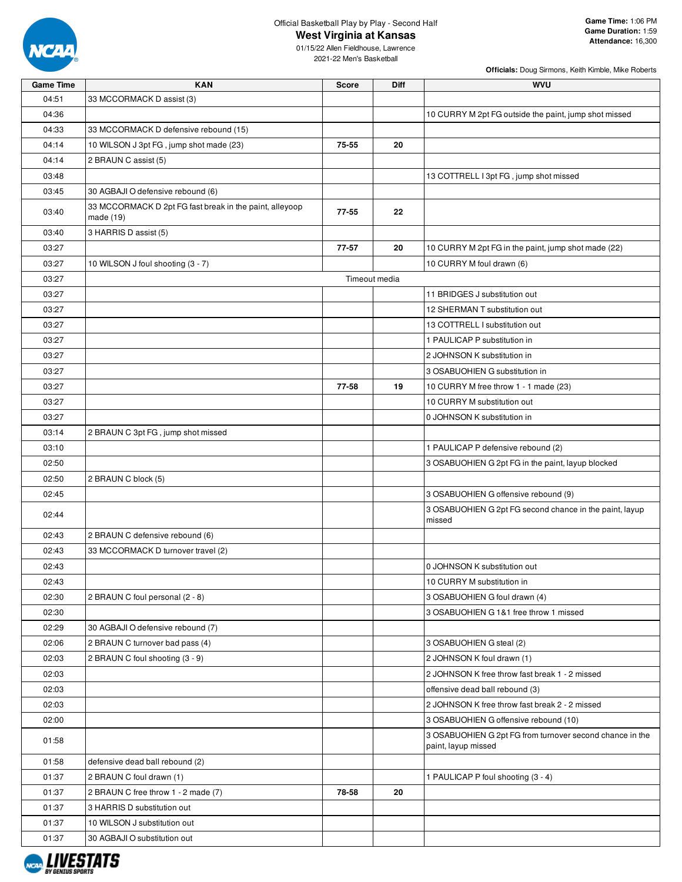

**West Virginia at Kansas**

**Officials:** Doug Sirmons, Keith Kimble, Mike Roberts

| <b>Game Time</b> | <b>KAN</b>                                              | <b>Score</b> | Diff          | <b>WVU</b>                                                                      |
|------------------|---------------------------------------------------------|--------------|---------------|---------------------------------------------------------------------------------|
| 04:51            | 33 MCCORMACK D assist (3)                               |              |               |                                                                                 |
| 04:36            |                                                         |              |               | 10 CURRY M 2pt FG outside the paint, jump shot missed                           |
| 04:33            | 33 MCCORMACK D defensive rebound (15)                   |              |               |                                                                                 |
| 04:14            | 10 WILSON J 3pt FG, jump shot made (23)                 | 75-55        | 20            |                                                                                 |
| 04:14            | 2 BRAUN C assist (5)                                    |              |               |                                                                                 |
| 03:48            |                                                         |              |               | 13 COTTRELL I 3pt FG, jump shot missed                                          |
| 03:45            | 30 AGBAJI O defensive rebound (6)                       |              |               |                                                                                 |
|                  | 33 MCCORMACK D 2pt FG fast break in the paint, alleyoop |              |               |                                                                                 |
| 03:40            | made (19)                                               | 77-55        | 22            |                                                                                 |
| 03:40            | 3 HARRIS D assist (5)                                   |              |               |                                                                                 |
| 03:27            |                                                         | 77-57        | 20            | 10 CURRY M 2pt FG in the paint, jump shot made (22)                             |
| 03:27            | 10 WILSON J foul shooting (3 - 7)                       |              |               | 10 CURRY M foul drawn (6)                                                       |
| 03:27            |                                                         |              | Timeout media |                                                                                 |
| 03:27            |                                                         |              |               | 11 BRIDGES J substitution out                                                   |
| 03:27            |                                                         |              |               | 12 SHERMAN T substitution out                                                   |
| 03:27            |                                                         |              |               | 13 COTTRELL I substitution out                                                  |
| 03:27            |                                                         |              |               | 1 PAULICAP P substitution in                                                    |
| 03:27            |                                                         |              |               | 2 JOHNSON K substitution in                                                     |
| 03:27            |                                                         |              |               | 3 OSABUOHIEN G substitution in                                                  |
| 03:27            |                                                         | 77-58        | 19            | 10 CURRY M free throw 1 - 1 made (23)                                           |
| 03:27            |                                                         |              |               | 10 CURRY M substitution out                                                     |
|                  |                                                         |              |               |                                                                                 |
| 03:27            |                                                         |              |               | 0 JOHNSON K substitution in                                                     |
| 03:14            | 2 BRAUN C 3pt FG, jump shot missed                      |              |               |                                                                                 |
| 03:10            |                                                         |              |               | 1 PAULICAP P defensive rebound (2)                                              |
| 02:50            |                                                         |              |               | 3 OSABUOHIEN G 2pt FG in the paint, layup blocked                               |
| 02:50            | 2 BRAUN C block (5)                                     |              |               |                                                                                 |
| 02:45            |                                                         |              |               | 3 OSABUOHIEN G offensive rebound (9)                                            |
| 02:44            |                                                         |              |               | 3 OSABUOHIEN G 2pt FG second chance in the paint, layup<br>missed               |
| 02:43            | 2 BRAUN C defensive rebound (6)                         |              |               |                                                                                 |
| 02:43            | 33 MCCORMACK D turnover travel (2)                      |              |               |                                                                                 |
| 02:43            |                                                         |              |               | 0 JOHNSON K substitution out                                                    |
| 02:43            |                                                         |              |               | 10 CURRY M substitution in                                                      |
| 02:30            | 2 BRAUN C foul personal (2 - 8)                         |              |               | 3 OSABUOHIEN G foul drawn (4)                                                   |
| 02:30            |                                                         |              |               | 3 OSABUOHIEN G 1&1 free throw 1 missed                                          |
| 02:29            | 30 AGBAJI O defensive rebound (7)                       |              |               |                                                                                 |
| 02:06            | 2 BRAUN C turnover bad pass (4)                         |              |               | 3 OSABUOHIEN G steal (2)                                                        |
| 02:03            | 2 BRAUN C foul shooting (3 - 9)                         |              |               | 2 JOHNSON K foul drawn (1)                                                      |
| 02:03            |                                                         |              |               | 2 JOHNSON K free throw fast break 1 - 2 missed                                  |
| 02:03            |                                                         |              |               | offensive dead ball rebound (3)                                                 |
| 02:03            |                                                         |              |               | 2 JOHNSON K free throw fast break 2 - 2 missed                                  |
| 02:00            |                                                         |              |               | 3 OSABUOHIEN G offensive rebound (10)                                           |
| 01:58            |                                                         |              |               | 3 OSABUOHIEN G 2pt FG from turnover second chance in the<br>paint, layup missed |
| 01:58            | defensive dead ball rebound (2)                         |              |               |                                                                                 |
| 01:37            | 2 BRAUN C foul drawn (1)                                |              |               | 1 PAULICAP P foul shooting (3 - 4)                                              |
| 01:37            | 2 BRAUN C free throw 1 - 2 made (7)                     | 78-58        | 20            |                                                                                 |
| 01:37            | 3 HARRIS D substitution out                             |              |               |                                                                                 |
| 01:37            | 10 WILSON J substitution out                            |              |               |                                                                                 |
| 01:37            | 30 AGBAJI O substitution out                            |              |               |                                                                                 |
|                  |                                                         |              |               |                                                                                 |

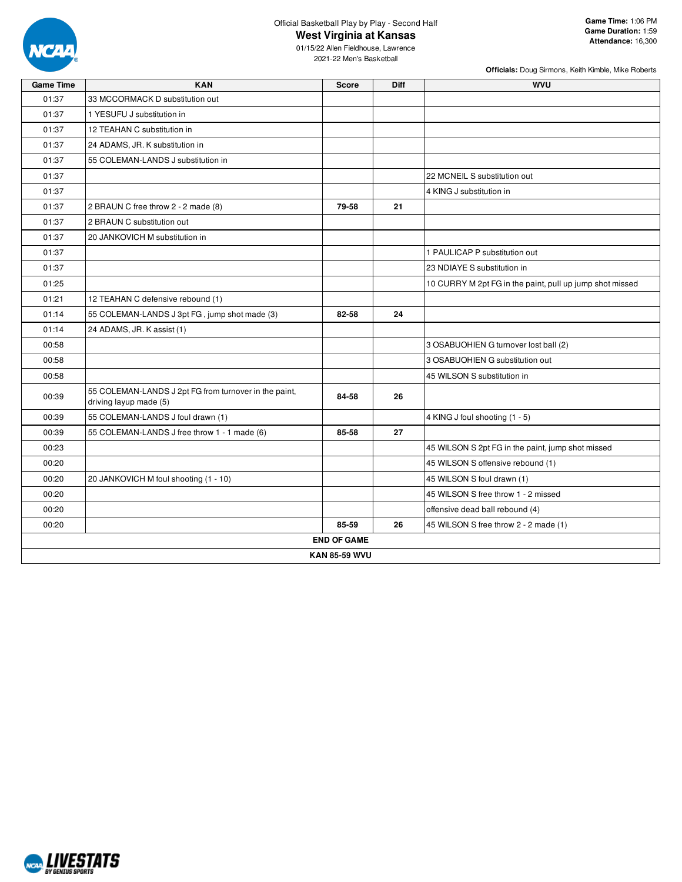

**West Virginia at Kansas**

**Officials:** Doug Sirmons, Keith Kimble, Mike Roberts

| <b>Game Time</b> | <b>KAN</b>                                                                      | <b>Score</b>         | Diff | <b>WVU</b>                                               |
|------------------|---------------------------------------------------------------------------------|----------------------|------|----------------------------------------------------------|
| 01:37            | 33 MCCORMACK D substitution out                                                 |                      |      |                                                          |
| 01:37            | 1 YESUFU J substitution in                                                      |                      |      |                                                          |
| 01:37            | 12 TEAHAN C substitution in                                                     |                      |      |                                                          |
| 01:37            | 24 ADAMS, JR. K substitution in                                                 |                      |      |                                                          |
| 01:37            | 55 COLEMAN-LANDS J substitution in                                              |                      |      |                                                          |
| 01:37            |                                                                                 |                      |      | 22 MCNEIL S substitution out                             |
| 01:37            |                                                                                 |                      |      | 4 KING J substitution in                                 |
| 01:37            | 2 BRAUN C free throw 2 - 2 made (8)                                             | 79-58                | 21   |                                                          |
| 01:37            | 2 BRAUN C substitution out                                                      |                      |      |                                                          |
| 01:37            | 20 JANKOVICH M substitution in                                                  |                      |      |                                                          |
| 01:37            |                                                                                 |                      |      | 1 PAULICAP P substitution out                            |
| 01:37            |                                                                                 |                      |      | 23 NDIAYE S substitution in                              |
| 01:25            |                                                                                 |                      |      | 10 CURRY M 2pt FG in the paint, pull up jump shot missed |
| 01:21            | 12 TEAHAN C defensive rebound (1)                                               |                      |      |                                                          |
| 01:14            | 55 COLEMAN-LANDS J 3pt FG, jump shot made (3)                                   | 82-58                | 24   |                                                          |
| 01:14            | 24 ADAMS, JR. K assist (1)                                                      |                      |      |                                                          |
| 00:58            |                                                                                 |                      |      | 3 OSABUOHIEN G turnover lost ball (2)                    |
| 00:58            |                                                                                 |                      |      | 3 OSABUOHIEN G substitution out                          |
| 00:58            |                                                                                 |                      |      | 45 WILSON S substitution in                              |
| 00:39            | 55 COLEMAN-LANDS J 2pt FG from turnover in the paint,<br>driving layup made (5) | 84-58                | 26   |                                                          |
| 00:39            | 55 COLEMAN-LANDS J foul drawn (1)                                               |                      |      | 4 KING J foul shooting (1 - 5)                           |
| 00:39            | 55 COLEMAN-LANDS J free throw 1 - 1 made (6)                                    | 85-58                | 27   |                                                          |
| 00:23            |                                                                                 |                      |      | 45 WILSON S 2pt FG in the paint, jump shot missed        |
| 00:20            |                                                                                 |                      |      | 45 WILSON S offensive rebound (1)                        |
| 00:20            | 20 JANKOVICH M foul shooting (1 - 10)                                           |                      |      | 45 WILSON S foul drawn (1)                               |
| 00:20            |                                                                                 |                      |      | 45 WILSON S free throw 1 - 2 missed                      |
| 00:20            |                                                                                 |                      |      | offensive dead ball rebound (4)                          |
| 00:20            |                                                                                 | 85-59                | 26   | 45 WILSON S free throw 2 - 2 made (1)                    |
|                  |                                                                                 | <b>END OF GAME</b>   |      |                                                          |
|                  |                                                                                 | <b>KAN 85-59 WVU</b> |      |                                                          |

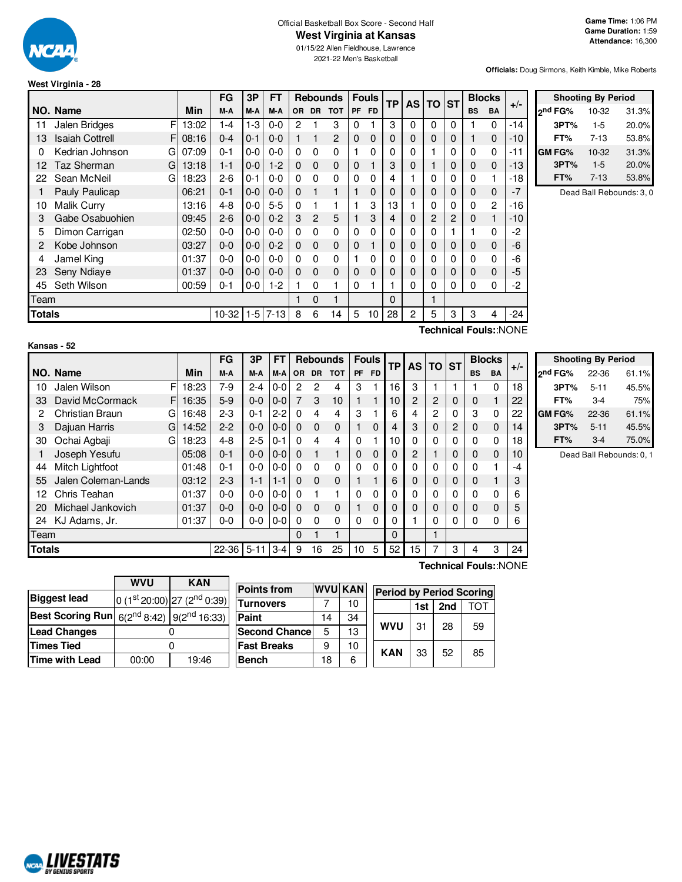

#### Official Basketball Box Score - Second Half **West Virginia at Kansas**

01/15/22 Allen Fieldhouse, Lawrence

2021-22 Men's Basketball

**Officials:** Doug Sirmons, Keith Kimble, Mike Roberts

| West Virginia - 28 |  |
|--------------------|--|
|--------------------|--|

|                       |                              |       | FG               | 3P      | <b>FT</b> |          |           | <b>Rebounds</b> |           | <b>Fouls</b> | <b>TP</b>      |          |           |   |           | <b>AS</b>      |       | <b>ST</b> |  | <b>Blocks</b> | $+/-$ |
|-----------------------|------------------------------|-------|------------------|---------|-----------|----------|-----------|-----------------|-----------|--------------|----------------|----------|-----------|---|-----------|----------------|-------|-----------|--|---------------|-------|
|                       | NO. Name                     | Min   | M-A              | M-A     | M-A       | OR.      | <b>DR</b> | <b>TOT</b>      | <b>PF</b> | <b>FD</b>    |                |          | <b>TO</b> |   | <b>BS</b> | <b>BA</b>      |       |           |  |               |       |
| 11                    | F<br>Jalen Bridges           | 13:02 | 1-4              | $1-3$   | $0-0$     | 2        |           | 3               | 0         |              | 3              | 0        | $\Omega$  | 0 |           | $\Omega$       | $-14$ |           |  |               |       |
| 13                    | <b>Isaiah Cottrell</b><br>F. | 08:16 | $0 - 4$          | $0 - 1$ | $0 - 0$   | 1        |           | $\overline{c}$  | $\Omega$  | $\mathbf 0$  | 0              | 0        | 0         | 0 |           | $\mathbf 0$    | $-10$ |           |  |               |       |
| 0                     | Kedrian Johnson<br>G         | 07:09 | $0 - 1$          | 0-0     | $0-0$     | 0        | 0         | 0               |           | 0            | 0              | 0        |           | 0 | 0         | 0              | -11   |           |  |               |       |
| 12                    | Taz Sherman<br>G             | 13:18 | $1 - 1$          | $0-0$   | $1-2$     | $\Omega$ | $\Omega$  | 0               | $\Omega$  |              | 3              | 0        |           | 0 | 0         | $\mathbf 0$    | $-13$ |           |  |               |       |
| 22                    | Sean McNeil<br>G             | 18:23 | $2-6$            | 0-1     | $0 - 0$   | 0        | 0         | 0               | $\Omega$  | 0            | 4              |          | 0         | 0 | 0         | 1              | $-18$ |           |  |               |       |
|                       | Pauly Paulicap               | 06:21 | $0 - 1$          | $0 - 0$ | $0 - 0$   | 0        |           |                 |           | 0            | 0              | 0        | 0         | 0 | 0         | 0              | $-7$  |           |  |               |       |
| 10                    | Malik Curry                  | 13:16 | $4 - 8$          | $0-0$   | $5 - 5$   | 0        |           |                 |           | 3            | 13             |          | 0         | 0 | 0         | $\overline{c}$ | -16   |           |  |               |       |
| 3                     | Gabe Osabuohien              | 09:45 | $2 - 6$          | $0-0$   | $0 - 2$   | 3        | 2         | 5               |           | 3            | $\overline{4}$ | $\Omega$ | 2         | 2 | 0         | 1              | $-10$ |           |  |               |       |
| 5                     | Dimon Carrigan               | 02:50 | $0 - 0$          | $0-0$   | $0 - 0$   | 0        | 0         | 0               | $\Omega$  | 0            | 0              | 0        | 0         |   |           | $\Omega$       | $-2$  |           |  |               |       |
| 2                     | Kobe Johnson                 | 03:27 | $0 - 0$          | $0-0$   | $0 - 2$   | 0        | 0         | $\Omega$        | $\Omega$  |              | 0              | 0        | 0         | 0 | 0         | 0              | -6    |           |  |               |       |
| 4                     | Jamel King                   | 01:37 | $0 - 0$          | 0-0     | $0-0$     | 0        | 0         | 0               |           | $\Omega$     | 0              | 0        | 0         | 0 | 0         | 0              | -6    |           |  |               |       |
| 23                    | Seny Ndiaye                  | 01:37 | $0 - 0$          | $0 - 0$ | $0 - 0$   | 0        | $\Omega$  | $\Omega$        | $\Omega$  | 0            | 0              | 0        | 0         | 0 | 0         | 0              | -5    |           |  |               |       |
| 45                    | Seth Wilson                  | 00:59 | $0 - 1$          | $0-0$   | $1-2$     |          | 0         |                 | 0         |              |                | 0        | 0         | 0 | 0         | 0              | -2    |           |  |               |       |
|                       | Team<br>0<br>$\Omega$        |       |                  |         |           |          |           |                 |           |              |                |          |           |   |           |                |       |           |  |               |       |
| <b>Totals</b>         |                              |       | $10-32$ 1-5 7-13 |         |           | 8        | 6         | 14              | 5         | 10           | 28             | 2        | 5         | 3 | 3         | 4              | $-24$ |           |  |               |       |
| Technical Fouls::NONE |                              |       |                  |         |           |          |           |                 |           |              |                |          |           |   |           |                |       |           |  |               |       |

|               | <b>Shooting By Period</b> |       |
|---------------|---------------------------|-------|
| ond FG%       | 10-32                     | 31.3% |
| 3PT%          | $1-5$                     | 20.0% |
| FT%           | $7-13$                    | 53.8% |
| <b>GM FG%</b> | 10-32                     | 31.3% |
| 3PT%          | $1-5$                     | 20.0% |
| FT%           | $7-13$                    | 53.8% |

Dead Ball Rebounds: 3, 0

|               | Kansas - 52         |   |       |           |          |         |          |           |                 |              |     |    |      |              |             |             |               |       |
|---------------|---------------------|---|-------|-----------|----------|---------|----------|-----------|-----------------|--------------|-----|----|------|--------------|-------------|-------------|---------------|-------|
|               |                     |   |       | FG        | 3P       | FT      |          |           | <b>Rebounds</b> | <b>Fouls</b> |     | ТP | AS I | <b>TO ST</b> |             |             | <b>Blocks</b> |       |
|               | NO. Name            |   | Min   | M-A       | M-A      | M-A     | OR.      | <b>DR</b> | <b>TOT</b>      | <b>PF</b>    | FD. |    |      |              |             | <b>BS</b>   | <b>BA</b>     | $+/-$ |
| 10            | Jalen Wilson        | F | 18:23 | 7-9       | $2 - 4$  | $0 - 0$ | 2        | 2         | 4               | 3            |     | 16 | 3    |              |             |             | $\Omega$      | 18    |
| 33            | David McCormack     | F | 16:35 | $5-9$     | $0 - 0$  | $0 - 0$ | 7        | 3         | 10              |              |     | 10 | 2    | 2            | $\mathbf 0$ | 0           |               | 22    |
| 2             | Christian Braun     | G | 16:48 | $2-3$     | $0 - 1$  | $2 - 2$ | $\Omega$ | 4         | 4               | 3            |     | 6  | 4    | 2            | $\Omega$    | 3           | $\Omega$      | 22    |
| 3             | Dajuan Harris       | G | 14:52 | $2 - 2$   | $0 - 0$  | $0 - 0$ | $\Omega$ | $\Omega$  | $\mathbf 0$     |              | 0   | 4  | 3    | 0            | 2           | 0           | $\Omega$      | 14    |
| 30            | Ochai Agbaji        | G | 18:23 | $4 - 8$   | $2 - 5$  | $0 - 1$ | $\Omega$ | 4         | 4               | 0            |     | 10 | 0    | 0            | 0           | 0           | 0             | 18    |
|               | Joseph Yesufu       |   | 05:08 | $0 - 1$   | $0-0$    | $0-0$   | $\Omega$ |           | 1               | 0            | 0   | 0  | 2    |              | $\mathbf 0$ | $\mathbf 0$ | 0             | 10    |
| 44            | Mitch Lightfoot     |   | 01:48 | $0 - 1$   | $0 - 0$  | $0-0$   | $\Omega$ | $\Omega$  | $\Omega$        | 0            | 0   | 0  | 0    | 0            | 0           | 0           |               | -4    |
| 55            | Jalen Coleman-Lands |   | 03:12 | $2-3$     | $1 - 1$  | $1 - 1$ | $\Omega$ | $\Omega$  | $\Omega$        |              |     | 6  | 0    | 0            | $\Omega$    | $\Omega$    |               | 3     |
| 12            | Chris Teahan        |   | 01:37 | $0 - 0$   | $0 - 0$  | $0-0$   | $\Omega$ |           |                 | 0            | 0   | 0  | 0    | 0            | $\Omega$    | 0           | 0             | 6     |
| 20            | Michael Jankovich   |   | 01:37 | $0 - 0$   | $0-0$    | $0 - 0$ | $\Omega$ | $\Omega$  | $\Omega$        |              | 0   | 0  | 0    | 0            | $\Omega$    | $\Omega$    | $\Omega$      | 5     |
| 24            | KJ Adams, Jr.       |   | 01:37 | 0-0       | $0-0$    | $0-0$   | $\Omega$ | $\Omega$  | $\Omega$        | 0            | 0   | 0  |      | 0            | 0           | 0           | 0             | 6     |
|               | Team                |   |       |           |          | 0       |          |           |                 |              | 0   |    |      |              |             |             |               |       |
| <b>Totals</b> |                     |   |       | $22 - 36$ | $5 - 11$ | $3 - 4$ | 9        | 16        | 25              | 10           | 5   | 52 | 5    | 7            | 3           | 4           | 3             | 24    |

|                     | <b>Shooting By Period</b> |       |  |  |  |  |  |  |  |  |  |
|---------------------|---------------------------|-------|--|--|--|--|--|--|--|--|--|
| 2 <sup>nd</sup> FG% | 22-36                     | 61.1% |  |  |  |  |  |  |  |  |  |
| 3PT%                | $5 - 11$                  | 45.5% |  |  |  |  |  |  |  |  |  |
| FT%                 | $3-4$                     | 75%   |  |  |  |  |  |  |  |  |  |
| <b>GM FG%</b>       | 22-36                     | 61.1% |  |  |  |  |  |  |  |  |  |
| 3PT%                | $5 - 11$                  | 45.5% |  |  |  |  |  |  |  |  |  |
| FT%                 | $3-4$                     | 75.0% |  |  |  |  |  |  |  |  |  |

Dead Ball Rebounds: 0, 1

|                       | <b>WVU</b><br><b>KAN</b>                                          |                                 |  |  |  |  |  |  |
|-----------------------|-------------------------------------------------------------------|---------------------------------|--|--|--|--|--|--|
| <b>Biggest lead</b>   |                                                                   | 0 $(1st 20:00)$ 27 $(2nd 0:39)$ |  |  |  |  |  |  |
|                       | <b>Best Scoring Run</b> $6(2^{nd} 8:42)$ 9(2 <sup>nd</sup> 16:33) |                                 |  |  |  |  |  |  |
| <b>Lead Changes</b>   |                                                                   |                                 |  |  |  |  |  |  |
| <b>Times Tied</b>     |                                                                   |                                 |  |  |  |  |  |  |
| <b>Time with Lead</b> | 00:00                                                             | 19:46                           |  |  |  |  |  |  |

NCAL LIVESTATS

| <b>Points from</b>    |    | <b>WVU KAN</b> | <b>Period by Period Scoring</b> |            |     |     |     |  |  |  |
|-----------------------|----|----------------|---------------------------------|------------|-----|-----|-----|--|--|--|
| <b>Turnovers</b>      |    | 10             |                                 |            | 1st | 2nd | ΤΩΤ |  |  |  |
| Paint                 | 14 | 34             |                                 |            |     |     |     |  |  |  |
| <b>Second Chancel</b> | 5  | 13             |                                 | <b>WVU</b> | 31  | 28  | 59  |  |  |  |
| <b>Fast Breaks</b>    | 9  | 10             |                                 | <b>KAN</b> |     |     |     |  |  |  |
| <b>Bench</b>          | 18 | 6              |                                 |            | 33  | 52  | 85  |  |  |  |

**Technical Fouls:**:NONE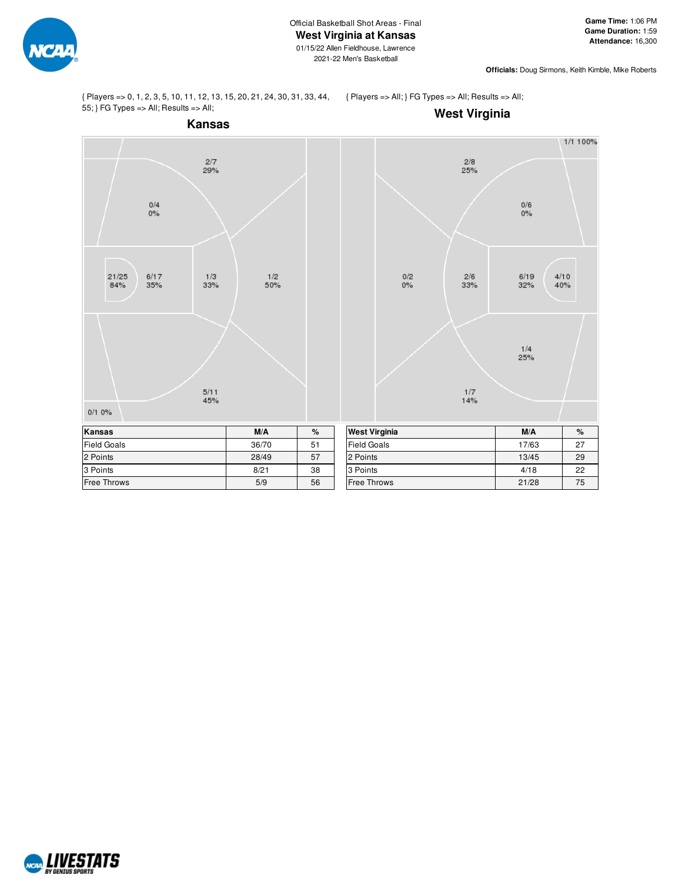

**Officials:** Doug Sirmons, Keith Kimble, Mike Roberts

{ Players => 0, 1, 2, 3, 5, 10, 11, 12, 13, 15, 20, 21, 24, 30, 31, 33, 44, 55; } FG Types => All; Results => All;

{ Players => All; } FG Types => All; Results => All;



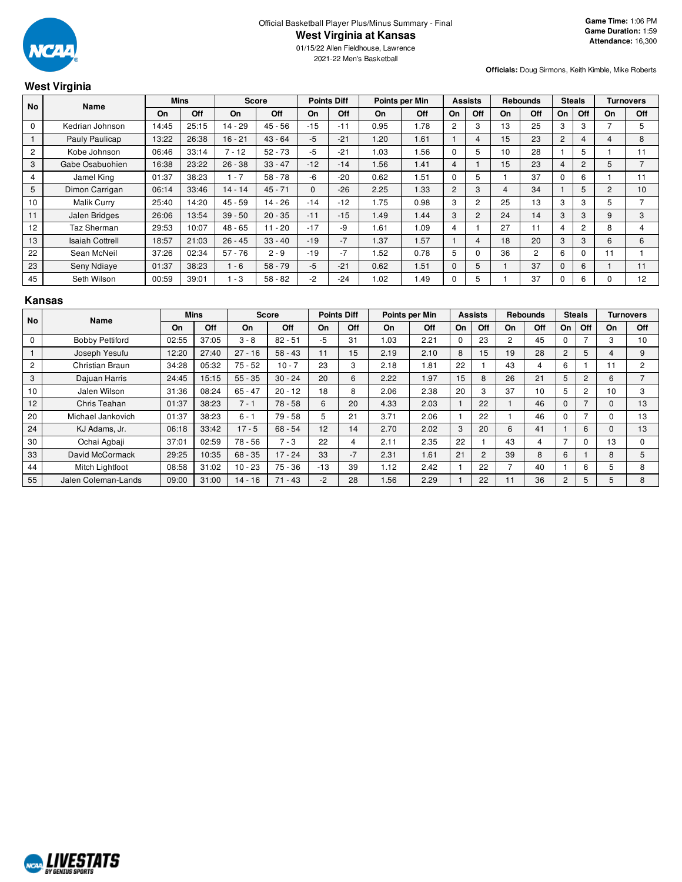

2021-22 Men's Basketball

#### **Officials:** Doug Sirmons, Keith Kimble, Mike Roberts

# **West Virginia**

| <b>No</b>      | <b>Name</b>            |       | Mins  |           | <b>Score</b> |       | <b>Points Diff</b> | Points per Min |      |                | <b>Assists</b> |    | <b>Rebounds</b> |             | <b>Steals</b>  |    | <b>Turnovers</b> |
|----------------|------------------------|-------|-------|-----------|--------------|-------|--------------------|----------------|------|----------------|----------------|----|-----------------|-------------|----------------|----|------------------|
|                |                        | On    | Off   | On        | Off          | On    | Off                | On             | Off  | On             | Off            | On | Off             | On          | Off            | On | Off              |
| $\mathbf 0$    | Kedrian Johnson        | 14:45 | 25:15 | 14 - 29   | $45 - 56$    | $-15$ | $-11$              | 0.95           | 1.78 | $\overline{2}$ | 3              | 13 | 25              | 3           | 3              |    | 5                |
|                | Pauly Paulicap         | 13:22 | 26:38 | $16 - 21$ | $43 - 64$    | $-5$  | $-21$              | 1.20           | 1.61 |                | 4              | 15 | 23              | 2           |                | 4  | 8                |
| $\overline{c}$ | Kobe Johnson           | 06:46 | 33:14 | $7 - 12$  | $52 - 73$    | $-5$  | $-21$              | 1.03           | 1.56 | $\Omega$       | 5              | 10 | 28              |             | 5              |    | 11               |
| 3              | Gabe Osabuohien        | 16:38 | 23:22 | $26 - 38$ | $33 - 47$    | $-12$ | $-14$              | 1.56           | 1.41 | 4              |                | 15 | 23              | 4           | $\overline{2}$ | 5  | ⇁                |
| 4              | Jamel King             | 01:37 | 38:23 | $1 - 7$   | $58 - 78$    | -6    | $-20$              | 0.62           | 1.51 | $\Omega$       | 5              |    | 37              | $\Omega$    | 6              |    | 11               |
| 5              | Dimon Carrigan         | 06:14 | 33:46 | $14 - 14$ | $45 - 71$    | 0     | $-26$              | 2.25           | 1.33 | $\overline{2}$ | 3              | 4  | 34              |             | 5              | 2  | 10               |
| 10             | <b>Malik Curry</b>     | 25:40 | 14:20 | $45 - 59$ | $14 - 26$    | $-14$ | $-12$              | 1.75           | 0.98 | 3              | $\overline{2}$ | 25 | 13              | 3           | 3              | 5  |                  |
| 11             | Jalen Bridges          | 26:06 | 13:54 | $39 - 50$ | $20 - 35$    | $-11$ | $-15$              | 1.49           | 1.44 | 3              | 2              | 24 | 14              | 3           | 3              | 9  | 3                |
| 12             | Taz Sherman            | 29:53 | 10:07 | 48 - 65   | $11 - 20$    | $-17$ | -9                 | .61            | 1.09 | 4              |                | 27 | 11              | 4           | $\overline{2}$ | 8  | 4                |
| 13             | <b>Isaiah Cottrell</b> | 18:57 | 21:03 | $26 - 45$ | $33 - 40$    | $-19$ | $-7$               | 1.37           | 1.57 |                | 4              | 18 | 20              | 3           | 3              | 6  | $6\overline{6}$  |
| 22             | Sean McNeil            | 37:26 | 02:34 | $57 - 76$ | $2 - 9$      | $-19$ | $-7$               | .52            | 0.78 | 5              | $\Omega$       | 36 | $\overline{c}$  | 6           |                | 11 |                  |
| 23             | Seny Ndiaye            | 01:37 | 38:23 | $1 - 6$   | $58 - 79$    | -5    | $-21$              | 0.62           | 1.51 | $\mathbf 0$    | 5              |    | 37              | $\mathbf 0$ | 6              |    | 11               |
| 45             | Seth Wilson            | 00:59 | 39:01 | - 3       | $58 - 82$    | $-2$  | $-24$              | .02            | 1.49 | $\Omega$       | 5              |    | 37              | $\Omega$    | 6              | 0  | 12               |

### **Kansas**

| No             | Name                   |       | <b>Mins</b><br><b>Score</b> |           |           | <b>Points Diff</b> |      | Points per Min |      | <b>Assists</b> |                | <b>Rebounds</b> |     | <b>Steals</b>  |                | <b>Turnovers</b> |                          |
|----------------|------------------------|-------|-----------------------------|-----------|-----------|--------------------|------|----------------|------|----------------|----------------|-----------------|-----|----------------|----------------|------------------|--------------------------|
|                |                        | On    | Off                         | On        | Off       | On                 | Off  | On             | Off  | On             | Off            | On              | Off | On             | Off            | On               | <b>Off</b>               |
| 0              | <b>Bobby Pettiford</b> | 02:55 | 37:05                       | $3 - 8$   | $82 - 51$ | -5                 | 31   | 1.03           | 2.21 | $\Omega$       | 23             | 2               | 45  |                |                | 3                | 10                       |
|                | Joseph Yesufu          | 12:20 | 27:40                       | $27 - 16$ | $58 - 43$ | 11                 | 15   | 2.19           | 2.10 | 8              | 15             | 19              | 28  | 2              | 5              | 4                | 9                        |
| $\overline{c}$ | Christian Braun        | 34:28 | 05:32                       | $75 - 52$ | $10 - 7$  | 23                 | 3    | 2.18           | 1.81 | 22             |                | 43              | 4   | 6              |                | 11               | $\overline{2}$           |
| 3              | Dajuan Harris          | 24:45 | 15:15                       | $55 - 35$ | $30 - 24$ | 20                 | 6    | 2.22           | 1.97 | 15             | 8              | 26              | 21  | 5              | 2              | 6                | $\overline{\phantom{0}}$ |
| 10             | Jalen Wilson           | 31:36 | 08:24                       | $65 - 47$ | $20 - 12$ | 18                 | 8    | 2.06           | 2.38 | 20             | 3              | 37              | 10  | 5              | $\overline{2}$ | 10               | 3                        |
| 12             | Chris Teahan           | 01:37 | 38:23                       | $7 - 1$   | $78 - 58$ | 6                  | 20   | 4.33           | 2.03 |                | 22             |                 | 46  | 0              |                | $\Omega$         | 13                       |
| 20             | Michael Jankovich      | 01:37 | 38:23                       | $6 - 1$   | 79 - 58   | 5                  | 21   | 3.71           | 2.06 |                | 22             |                 | 46  | 0              |                | 0                | 13                       |
| 24             | KJ Adams, Jr.          | 06:18 | 33:42                       | $17 - 5$  | $68 - 54$ | 12                 | 14   | 2.70           | 2.02 | 3              | 20             | 6               | 41  |                | 6              | $\Omega$         | 13                       |
| 30             | Ochai Agbaji           | 37:01 | 02:59                       | 78 - 56   | $7 - 3$   | 22                 | 4    | 2.11           | 2.35 | 22             |                | 43              | 4   |                | 0              | 13               | $\Omega$                 |
| 33             | David McCormack        | 29:25 | 10:35                       | $68 - 35$ | $17 - 24$ | 33                 | $-7$ | 2.31           | 1.61 | 21             | $\overline{2}$ | 39              | 8   | 6              |                | 8                | 5                        |
| 44             | Mitch Lightfoot        | 08:58 | 31:02                       | $10 - 23$ | $75 - 36$ | $-13$              | 39   | 1.12           | 2.42 |                | 22             |                 | 40  |                | 6              | 5                | 8                        |
| 55             | Jalen Coleman-Lands    | 09:00 | 31:00                       | $14 - 16$ | $71 - 43$ | $-2$               | 28   | 1.56           | 2.29 |                | 22             | 11              | 36  | $\overline{2}$ | 5              | 5                | 8                        |

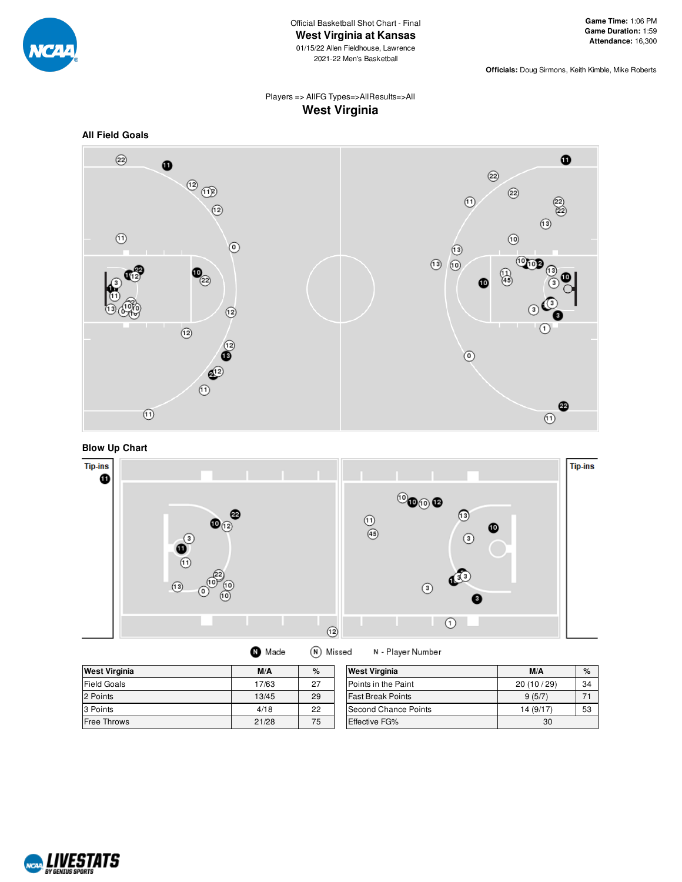

**Officials:** Doug Sirmons, Keith Kimble, Mike Roberts

# Players => AllFG Types=>AllResults=>All **West Virginia**





**Blow Up Chart**



(N) Missed **O** Made

N - Player Number

| <b>West Virginia</b> | M/A   | $\%$ | <b>West Virginia</b>        | M/A       | $\%$ |
|----------------------|-------|------|-----------------------------|-----------|------|
| <b>Field Goals</b>   | 17/63 | 27   | <b>IPoints in the Paint</b> | 20(10/29) | 34   |
| 2 Points             | 13/45 | 29   | <b>Fast Break Points</b>    | 9(5/7)    |      |
| 3 Points             | 4/18  | 22   | Second Chance Points        | 14(9/17)  | 53   |
| <b>Free Throws</b>   | 21/28 | 75   | <b>Effective FG%</b>        | 30        |      |

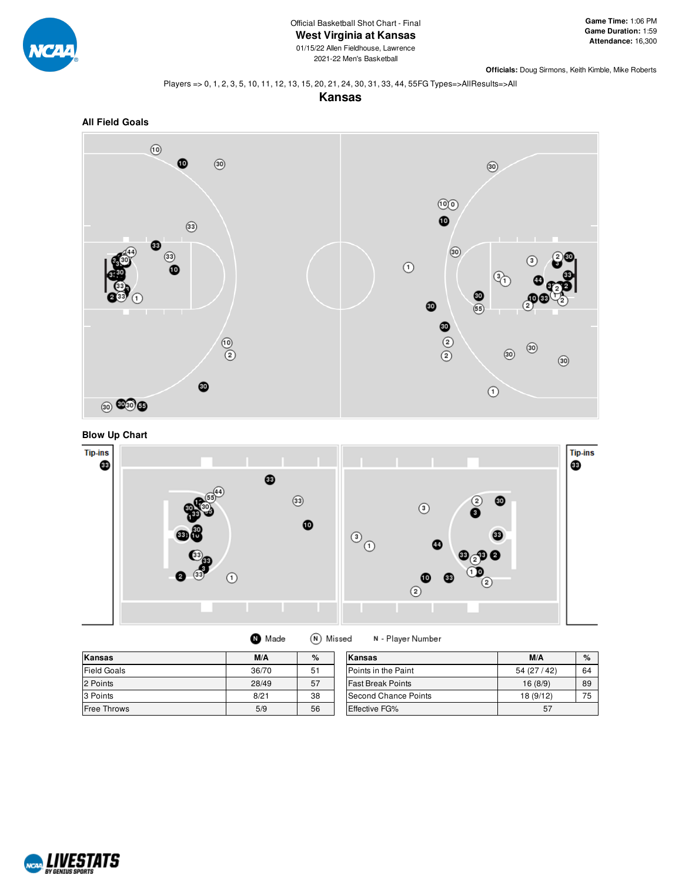

2021-22 Men's Basketball

**Officials:** Doug Sirmons, Keith Kimble, Mike Roberts

#### Players => 0, 1, 2, 3, 5, 10, 11, 12, 13, 15, 20, 21, 24, 30, 31, 33, 44, 55FG Types=>AllResults=>All

**Kansas**







| Made | (N) Missed | N - Playe |
|------|------------|-----------|
|------|------------|-----------|

| <b>Kansas</b>      | M/A   | %  | lKansas                  | M/A       | $\%$ |
|--------------------|-------|----|--------------------------|-----------|------|
| <b>Field Goals</b> | 36/70 | 51 | Points in the Paint      | 54(27/42) | 64   |
| 2 Points           | 28/49 | 57 | <b>Fast Break Points</b> | 16(8/9)   | 89   |
| 3 Points           | 8/21  | 38 | Second Chance Points     | 18 (9/12) | 75   |
| Free Throws        | 5/9   | 56 | <b>Effective FG%</b>     | 57        |      |

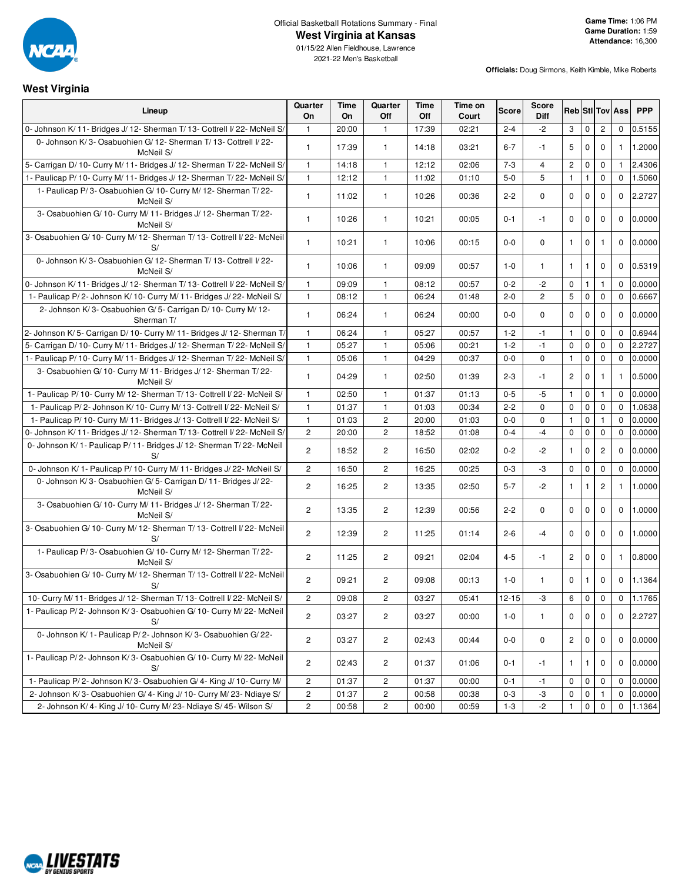

**West Virginia**

2021-22 Men's Basketball

| Lineup                                                                        | Quarter<br>On           | Time<br>On | Quarter<br>Off | Time<br>Off | Time on<br>Court | Score     | <b>Score</b><br><b>Diff</b> |                      |              |              | <b>Reb</b> StilTov Ass | <b>PPP</b> |
|-------------------------------------------------------------------------------|-------------------------|------------|----------------|-------------|------------------|-----------|-----------------------------|----------------------|--------------|--------------|------------------------|------------|
| 0- Johnson K/11- Bridges J/12- Sherman T/13- Cottrell I/22- McNeil S/         | 1                       | 20:00      | $\mathbf{1}$   | 17:39       | 02:21            | $2 - 4$   | $-2$                        | 3                    | $\mathbf 0$  | $\mathbf{2}$ | $\mathbf 0$            | 0.5155     |
| 0- Johnson K/3- Osabuohien G/12- Sherman T/13- Cottrell I/22-<br>McNeil S/    | $\mathbf{1}$            | 17:39      | $\mathbf{1}$   | 14:18       | 03:21            | $6 - 7$   | $-1$                        | 5                    | $\mathbf 0$  | $\mathbf 0$  | 1                      | 1.2000     |
| 5- Carrigan D/ 10- Curry M/ 11- Bridges J/ 12- Sherman T/ 22- McNeil S/       | $\mathbf{1}$            | 14:18      | $\mathbf{1}$   | 12:12       | 02:06            | $7 - 3$   | $\overline{4}$              | $\mathbf{2}$         | $\mathbf 0$  | 0            | $\mathbf{1}$           | 2.4306     |
| 1- Paulicap P/ 10- Curry M/ 11- Bridges J/ 12- Sherman T/ 22- McNeil S/       | $\mathbf{1}$            | 12:12      | $\mathbf{1}$   | 11:02       | 01:10            | $5-0$     | 5                           | $\mathbf{1}$         | $\mathbf{1}$ | 0            | $\mathbf 0$            | 1.5060     |
| 1- Paulicap P/3- Osabuohien G/10- Curry M/12- Sherman T/22-<br>McNeil S/      | $\mathbf{1}$            | 11:02      | $\mathbf{1}$   | 10:26       | 00:36            | $2 - 2$   | $\mathbf 0$                 | 0                    | $\mathbf 0$  | $\mathbf 0$  | 0                      | 2.2727     |
| 3- Osabuohien G/ 10- Curry M/ 11- Bridges J/ 12- Sherman T/ 22-<br>McNeil S/  | $\mathbf{1}$            | 10:26      | $\mathbf{1}$   | 10:21       | 00:05            | $0 - 1$   | $-1$                        | $\mathbf 0$          | $\mathbf 0$  | $\mathbf 0$  | $\mathbf 0$            | 0.0000     |
| 3- Osabuohien G/ 10- Curry M/ 12- Sherman T/ 13- Cottrell I/ 22- McNeil<br>S/ | $\mathbf{1}$            | 10:21      | $\mathbf{1}$   | 10:06       | 00:15            | $0-0$     | $\mathbf 0$                 | $\mathbf{1}$         | $\mathbf 0$  | 1            | $\mathbf 0$            | 0.0000     |
| 0- Johnson K/3- Osabuohien G/12- Sherman T/13- Cottrell I/22-<br>McNeil S/    | $\mathbf{1}$            | 10:06      | $\mathbf{1}$   | 09:09       | 00:57            | $1 - 0$   | $\mathbf{1}$                | $\mathbf{1}$         | $\mathbf{1}$ | $\mathbf 0$  | $\mathbf 0$            | 0.5319     |
| 0- Johnson K/11- Bridges J/12- Sherman T/13- Cottrell I/22- McNeil S/         | $\mathbf{1}$            | 09:09      | $\mathbf{1}$   | 08:12       | 00:57            | $0 - 2$   | $-2$                        | 0                    | 1            | $\mathbf{1}$ | $\mathbf 0$            | 0.0000     |
| 1- Paulicap P/2- Johnson K/10- Curry M/11- Bridges J/22- McNeil S/            | $\mathbf{1}$            | 08:12      | 1              | 06:24       | 01:48            | $2 - 0$   | 2                           | 5                    | $\mathbf 0$  | 0            | $\mathbf{0}$           | 0.6667     |
| 2- Johnson K/3- Osabuohien G/5- Carrigan D/10- Curry M/12-<br>Sherman T/      | $\mathbf{1}$            | 06:24      | $\mathbf{1}$   | 06:24       | 00:00            | $0-0$     | $\mathbf 0$                 | $\mathbf 0$          | $\mathbf 0$  | $\mathbf 0$  | $\mathbf 0$            | 0.0000     |
| 2- Johnson K/5- Carrigan D/10- Curry M/11- Bridges J/12- Sherman T/           | $\mathbf{1}$            | 06:24      | $\mathbf{1}$   | 05:27       | 00:57            | $1 - 2$   | $-1$                        | $\mathbf{1}$         | $\mathsf 0$  | $\mathbf 0$  | $\mathbf 0$            | 0.6944     |
| 5- Carrigan D/10- Curry M/11- Bridges J/12- Sherman T/22- McNeil S/           | $\mathbf{1}$            | 05:27      | $\mathbf{1}$   | 05:06       | 00:21            | $1 - 2$   | $-1$                        | $\mathbf 0$          | $\mathbf 0$  | $\mathbf 0$  | $\Omega$               | 2.2727     |
| 1- Paulicap P/ 10- Curry M/ 11- Bridges J/ 12- Sherman T/ 22- McNeil S/       | $\mathbf{1}$            | 05:06      | $\mathbf{1}$   | 04:29       | 00:37            | $0-0$     | 0                           | $\mathbf{1}$         | $\mathbf 0$  | 0            | 0                      | 0.0000     |
| 3- Osabuohien G/ 10- Curry M/ 11- Bridges J/ 12- Sherman T/ 22-<br>McNeil S/  | $\mathbf{1}$            | 04:29      | $\mathbf{1}$   | 02:50       | 01:39            | $2 - 3$   | $-1$                        | $\mathbf{2}$         | $\mathbf 0$  | 1            | 1                      | 0.5000     |
| 1- Paulicap P/ 10- Curry M/ 12- Sherman T/ 13- Cottrell I/ 22- McNeil S/      | $\mathbf{1}$            | 02:50      | $\mathbf{1}$   | 01:37       | 01:13            | $0-5$     | -5                          | $\mathbf{1}$         | $\mathbf 0$  | $\mathbf{1}$ | $\mathbf 0$            | 0.0000     |
| 1- Paulicap P/2- Johnson K/10- Curry M/13- Cottrell I/22- McNeil S/           | $\mathbf{1}$            | 01:37      | $\mathbf{1}$   | 01:03       | 00:34            | $2 - 2$   | 0                           | 0                    | $\mathbf 0$  | 0            | $\mathbf{0}$           | 1.0638     |
| 1- Paulicap P/ 10- Curry M/ 11- Bridges J/ 13- Cottrell I/ 22- McNeil S/      | $\mathbf{1}$            | 01:03      | $\overline{c}$ | 20:00       | 01:03            | $0-0$     | 0                           | $\mathbf{1}$         | $\mathbf 0$  | $\mathbf{1}$ | $\mathbf 0$            | 0.0000     |
| 0- Johnson K/11- Bridges J/12- Sherman T/13- Cottrell I/22- McNeil S/         | $\overline{c}$          | 20:00      | $\overline{2}$ | 18:52       | 01:08            | $0 - 4$   | $-4$                        | $\mathbf 0$          | $\mathbf 0$  | 0            | $\mathbf 0$            | 0.0000     |
| 0- Johnson K/1- Paulicap P/11- Bridges J/12- Sherman T/22- McNeil<br>S/       | $\mathbf{2}$            | 18:52      | $\overline{c}$ | 16:50       | 02:02            | $0 - 2$   | $-2$                        | $\mathbf{1}$         | $\mathbf 0$  | $\mathbf{2}$ | $\mathbf 0$            | 0.0000     |
| 0- Johnson K/1- Paulicap P/10- Curry M/11- Bridges J/22- McNeil S/            | $\overline{c}$          | 16:50      | $\overline{2}$ | 16:25       | 00:25            | $0 - 3$   | -3                          | 0                    | $\mathbf 0$  | 0            | 0                      | 0.0000     |
| 0- Johnson K/3- Osabuohien G/5- Carrigan D/11- Bridges J/22-<br>McNeil S/     | $\mathbf{2}$            | 16:25      | $\overline{c}$ | 13:35       | 02:50            | $5 - 7$   | $-2$                        | $\mathbf{1}$         | $\mathbf{1}$ | 2            | 1                      | 1.0000     |
| 3- Osabuohien G/ 10- Curry M/ 11- Bridges J/ 12- Sherman T/ 22-<br>McNeil S/  | 2                       | 13:35      | $\overline{c}$ | 12:39       | 00:56            | $2 - 2$   | $\mathbf 0$                 | $\mathbf 0$          | $\mathbf 0$  | $\mathbf 0$  | $\mathbf 0$            | 1.0000     |
| 3- Osabuohien G/ 10- Curry M/ 12- Sherman T/ 13- Cottrell I/ 22- McNeil<br>S/ | $\mathbf{2}^{\prime}$   | 12:39      | $\mathbf{2}$   | 11:25       | 01:14            | $2 - 6$   | $-4$                        | $\mathbf 0$          | $\mathbf 0$  | $\mathbf 0$  | $\mathbf 0$            | 1.0000     |
| 1- Paulicap P/3- Osabuohien G/10- Curry M/12- Sherman T/22-<br>McNeil S/      | $\mathbf{2}$            | 11:25      | $\overline{c}$ | 09:21       | 02:04            | $4 - 5$   | $-1$                        | $\mathbf{2}^{\circ}$ | $\mathbf 0$  | 0            | $\mathbf{1}$           | 0.8000     |
| 3- Osabuohien G/ 10- Curry M/ 12- Sherman T/ 13- Cottrell I/ 22- McNeil<br>S/ | $\overline{2}$          | 09:21      | $\overline{2}$ | 09:08       | 00:13            | $1 - 0$   | 1                           | $\mathbf 0$          | $\mathbf{1}$ | $\mathbf 0$  | $\mathbf 0$            | 1.1364     |
| 10- Curry M/ 11- Bridges J/ 12- Sherman T/ 13- Cottrell I/ 22- McNeil S/      | $\overline{c}$          | 09:08      | $\overline{c}$ | 03:27       | 05:41            | $12 - 15$ | -3                          | 6                    | 0            | 0            | 0                      | 1.1765     |
| 1- Paulicap P/2- Johnson K/3- Osabuohien G/10- Curry M/22- McNeil<br>S/       | $\overline{2}$          | 03:27      | $\mathbf{2}$   | 03:27       | 00:00            | $1 - 0$   | $\mathbf{1}$                | $\mathbf{0}$         | $\mathbf 0$  | $\mathbf 0$  | $\mathbf 0$            | 2.2727     |
| 0- Johnson K/1- Paulicap P/2- Johnson K/3- Osabuohien G/22-<br>McNeil S/      | $\overline{c}$          | 03:27      | $\overline{c}$ | 02:43       | 00:44            | $0-0$     | 0                           | $\overline{2}$       | $\mathbf 0$  | $\mathbf 0$  | $\mathbf 0$            | 0.0000     |
| 1- Paulicap P/2- Johnson K/3- Osabuohien G/10- Curry M/22- McNeil<br>S/       | $\mathbf{2}$            | 02:43      | $\overline{c}$ | 01:37       | 01:06            | 0-1       | -1                          | $\mathbf{1}$         | 1            | 0            | $\mathbf 0$            | 0.0000     |
| 1- Paulicap P/2- Johnson K/3- Osabuohien G/4- King J/10- Curry M/             | $\overline{c}$          | 01:37      | $\overline{c}$ | 01:37       | 00:00            | $0 - 1$   | -1                          | 0                    | $\mathbf 0$  | 0            | 0                      | 0.0000     |
| 2- Johnson K/3- Osabuohien G/4- King J/10- Curry M/23- Ndiaye S/              | $\overline{\mathbf{c}}$ | 01:37      | $\overline{c}$ | 00:58       | 00:38            | $0 - 3$   | $-3$                        | 0                    | $\mathbf 0$  |              | 0                      | 0.0000     |
| 2- Johnson K/4- King J/10- Curry M/23- Ndiaye S/45- Wilson S/                 | $\overline{c}$          | 00:58      | $\mathbf{2}$   | 00:00       | 00:59            | $1 - 3$   | $-2$                        | $\mathbf{1}$         | $\mathbf 0$  | $\mathbf 0$  | $\mathbf 0$            | 1.1364     |

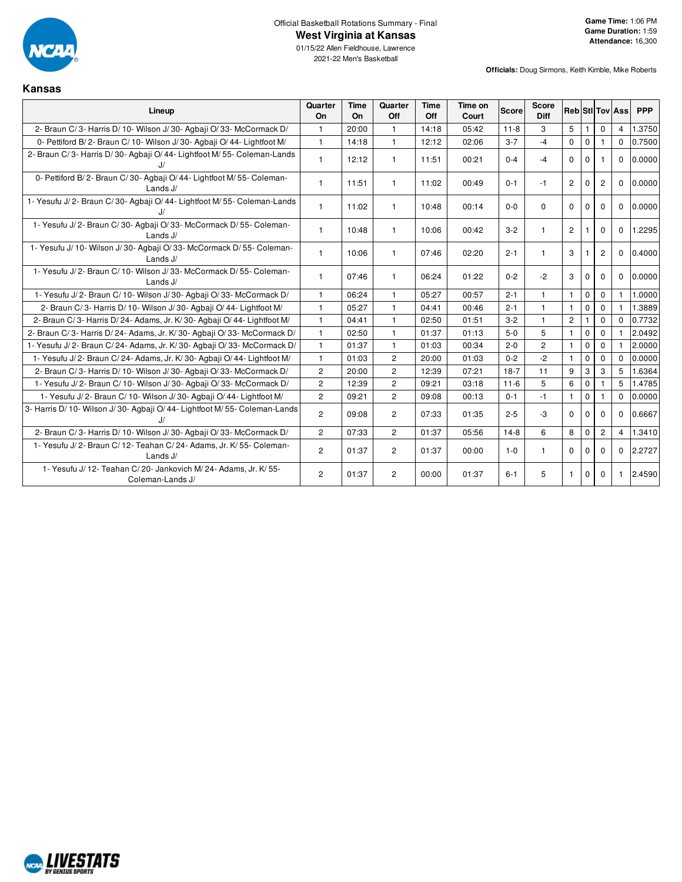

**Kansas**

01/15/22 Allen Fieldhouse, Lawrence 2021-22 Men's Basketball

| Lineup                                                                                    | Quarter<br>On         | Time<br>On | Quarter<br>Off | <b>Time</b><br>Off | Time on<br>Court | Score    | <b>Score</b><br><b>Diff</b> |                |              |                | <b>Reb</b> StilTov Ass | <b>PPP</b> |
|-------------------------------------------------------------------------------------------|-----------------------|------------|----------------|--------------------|------------------|----------|-----------------------------|----------------|--------------|----------------|------------------------|------------|
| 2- Braun C/3- Harris D/10- Wilson J/30- Agbaji O/33- McCormack D/                         | $\mathbf{1}$          | 20:00      | $\mathbf{1}$   | 14:18              | 05:42            | $11 - 8$ | 3                           | 5              |              | $\Omega$       | 4                      | 1.3750     |
| 0- Pettiford B/2- Braun C/10- Wilson J/30- Agbaji O/44- Lightfoot M/                      | $\mathbf{1}$          | 14:18      | $\mathbf{1}$   | 12:12              | 02:06            | $3 - 7$  | $-4$                        | $\Omega$       | $\Omega$     |                | $\Omega$               | 0.7500     |
| 2- Braun C/3- Harris D/30- Agbaji O/44- Lightfoot M/55- Coleman-Lands<br>J                | $\mathbf{1}$          | 12:12      | $\mathbf{1}$   | 11:51              | 00:21            | $0 - 4$  | $-4$                        | $\Omega$       | $\Omega$     |                | $\mathbf{0}$           | 0.0000     |
| 0- Pettiford B/2- Braun C/30- Agbaji O/44- Lightfoot M/55- Coleman-<br>Lands J/           | $\mathbf{1}$          | 11:51      | $\mathbf{1}$   | 11:02              | 00:49            | $0 - 1$  | $-1$                        | $\overline{2}$ | $\mathbf{0}$ | $\overline{2}$ | $\Omega$               | 0.0000     |
| 1- Yesufu J/2- Braun C/30- Agbaji O/44- Lightfoot M/55- Coleman-Lands<br>J/               | $\mathbf{1}$          | 11:02      | $\mathbf{1}$   | 10:48              | 00:14            | $0-0$    | $\Omega$                    | $\Omega$       | $\Omega$     | $\Omega$       | $\Omega$               | 0.0000     |
| 1- Yesufu J/2- Braun C/30- Agbaji O/33- McCormack D/55- Coleman-<br>Lands $J/$            | $\mathbf{1}$          | 10:48      | $\mathbf{1}$   | 10:06              | 00:42            | $3 - 2$  | $\mathbf{1}$                | $\overline{2}$ |              | $\mathbf{0}$   | $\Omega$               | 1.2295     |
| 1- Yesufu J/ 10- Wilson J/ 30- Agbaji O/ 33- McCormack D/ 55- Coleman-<br>Lands J/        | $\mathbf{1}$          | 10:06      | $\mathbf{1}$   | 07:46              | 02:20            | $2 - 1$  | $\mathbf{1}$                | 3              |              | $\overline{2}$ | $\mathbf 0$            | 0.4000     |
| 1- Yesufu J/2- Braun C/10- Wilson J/33- McCormack D/55- Coleman-<br>Lands J/              | $\mathbf{1}$          | 07:46      | $\mathbf{1}$   | 06:24              | 01:22            | $0 - 2$  | $-2$                        | 3              | 0            | $\Omega$       | $\Omega$               | 0.0000     |
| 1- Yesufu J/2- Braun C/10- Wilson J/30- Agbaji O/33- McCormack D/                         | $\mathbf{1}$          | 06:24      | $\mathbf{1}$   | 05:27              | 00:57            | $2 - 1$  | $\mathbf{1}$                | $\mathbf{1}$   | $\Omega$     | $\Omega$       | $\mathbf{1}$           | 1.0000     |
| 2- Braun C/3- Harris D/10- Wilson J/30- Agbaji O/44- Lightfoot M/                         | $\mathbf{1}$          | 05:27      | $\mathbf{1}$   | 04:41              | 00:46            | $2 - 1$  | $\mathbf{1}$                | $\mathbf{1}$   | $\mathbf{0}$ | $\Omega$       | 1                      | 1.3889     |
| 2- Braun C/3- Harris D/24- Adams, Jr. K/30- Agbaji O/44- Lightfoot M/                     | $\mathbf{1}$          | 04:41      | $\mathbf{1}$   | 02:50              | 01:51            | $3 - 2$  | $\mathbf{1}$                | 2              |              | $\mathbf 0$    | $\Omega$               | 0.7732     |
| 2- Braun C/3- Harris D/24- Adams, Jr. K/30- Agbaji O/33- McCormack D/                     | $\mathbf{1}$          | 02:50      | $\mathbf{1}$   | 01:37              | 01:13            | $5-0$    | 5                           | $\mathbf{1}$   | $\Omega$     | $\Omega$       |                        | 2.0492     |
| 1- Yesufu J/2- Braun C/24- Adams, Jr. K/30- Agbaji O/33- McCormack D/                     | $\mathbf{1}$          | 01:37      | $\mathbf{1}$   | 01:03              | 00:34            | $2 - 0$  | $\overline{2}$              | $\mathbf{1}$   | $\mathbf 0$  | $\Omega$       |                        | 2.0000     |
| 1- Yesufu J/2- Braun C/24- Adams, Jr. K/30- Agbaji O/44- Lightfoot M/                     | $\mathbf{1}$          | 01:03      | $\overline{2}$ | 20:00              | 01:03            | $0 - 2$  | $-2$                        | $\mathbf{1}$   | $\Omega$     | $\Omega$       | $\Omega$               | 0.0000     |
| 2- Braun C/3- Harris D/10- Wilson J/30- Agbaji O/33- McCormack D/                         | $\overline{2}$        | 20:00      | $\overline{2}$ | 12:39              | 07:21            | $18-7$   | 11                          | 9              | 3            | 3              | 5                      | 1.6364     |
| 1- Yesufu J/2- Braun C/10- Wilson J/30- Agbaji O/33- McCormack D/                         | $\overline{c}$        | 12:39      | $\overline{c}$ | 09:21              | 03:18            | $11 - 6$ | 5                           | 6              | $\mathbf{0}$ | 1              | 5                      | 1.4785     |
| 1- Yesufu J/2- Braun C/10- Wilson J/30- Agbaji O/44- Lightfoot M/                         | $\mathbf{2}^{\prime}$ | 09:21      | $\overline{2}$ | 09:08              | 00:13            | $0 - 1$  | $-1$                        | $\mathbf{1}$   | $\mathbf{0}$ |                | $\Omega$               | 0.0000     |
| 3- Harris D/ 10- Wilson J/ 30- Agbaji O/ 44- Lightfoot M/ 55- Coleman-Lands<br>$\cdot$ I/ | $\overline{2}$        | 09:08      | $\overline{c}$ | 07:33              | 01:35            | $2 - 5$  | -3                          | $\Omega$       | $\mathbf 0$  | $\mathbf 0$    | $\Omega$               | 0.6667     |
| 2- Braun C/3- Harris D/10- Wilson J/30- Agbaii O/33- McCormack D/                         | $\mathbf{2}^{\prime}$ | 07:33      | $\overline{2}$ | 01:37              | 05:56            | $14-8$   | 6                           | 8              | $\Omega$     | $\overline{c}$ | $\overline{4}$         | 1.3410     |
| 1- Yesufu J/2- Braun C/12- Teahan C/24- Adams, Jr. K/55- Coleman-<br>Lands J/             | $\overline{2}$        | 01:37      | $\overline{2}$ | 01:37              | 00:00            | $1 - 0$  | $\mathbf{1}$                | $\Omega$       | $\Omega$     | $\Omega$       | $\Omega$               | 2.2727     |
| 1- Yesufu J/ 12- Teahan C/ 20- Jankovich M/ 24- Adams, Jr. K/ 55-<br>Coleman-Lands J/     | $\overline{c}$        | 01:37      | $\overline{2}$ | 00:00              | 01:37            | $6 - 1$  | 5                           | $\mathbf{1}$   | $\mathbf 0$  | $\mathbf 0$    | $\mathbf{1}$           | 2.4590     |

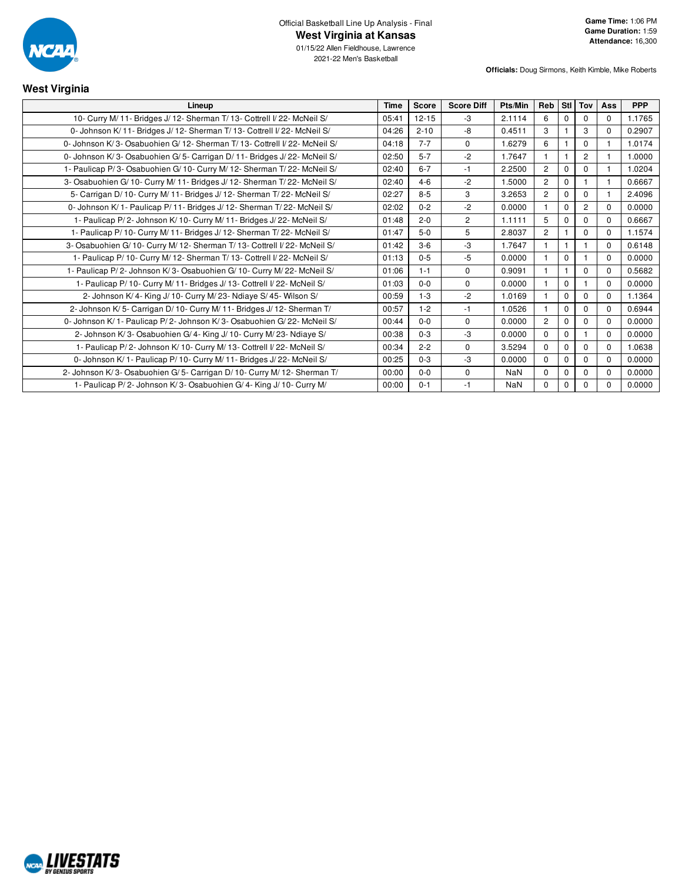

2021-22 Men's Basketball

**Officials:** Doug Sirmons, Keith Kimble, Mike Roberts

### **West Virginia Lineup Time Score Score Diff Pts/Min Reb Stl Tov Ass PPP** 10- Curry M/ 11- Bridges J/ 12- Sherman T/ 13- Cottrell I/ 22- McNeil S/ 05:41 12-15 -3 2.1114 6 0 0 0 1.1765 0- Johnson K/ 11- Bridges J/ 12- Sherman T/ 13- Cottrell I/ 22- McNeil S/ 04:26 2-10 -8 0.4511 3 1 3 0 0.2907 0- Johnson K/ 3- Osabuohien G/ 12- Sherman T/ 13- Cottrell I/ 22- McNeil S/ 04:18 7-7 0 1.6279 6 1 0 1 1.0174 0- Johnson K/ 3- Osabuohien G/ 5- Carrigan D/ 11- Bridges J/ 22- McNeil S/ 02:50 5-7 -2 1.7647 1 1 2 1 1.0000 1- Paulicap P/ 3- Osabuohien G/ 10- Curry M/ 12- Sherman T/ 22- McNeil S/ (22:40 6-7 -1 2.2500 2 0 1 1 1.0204 3- Osabuohien G/ 10- Curry M/ 11- Bridges J/ 12- Sherman T/ 22- McNeil S/ 02:40 4-6 -2 1.5000 2 0 1 1 0.6667 5- Carrigan D/ 10- Curry M/ 11- Bridges J/ 12- Sherman T/ 22- McNeil S/  $\begin{array}{|l|l|l|l|l|}\n\hline\n02:27 & 8-5 & 3 & 3.2653 & 2 & 0 & 1 & 2.4096\n\end{array}$ 0- Johnson K/ 1- Paulicap P/ 11- Bridges J/ 12- Sherman T/ 22- McNeil S/ 02:02 0-2 -2 0.0000 1 0 2 0 0.0000 0 1 0 2 0 0.0000 1- Paulicap P/ 2- Johnson K/ 10- Curry M/ 11- Bridges J/ 22- McNeil S/ (21:48 | 2-0 | 2 | 1.1111 | 5 | 0 | 0 | 0 | 0 | 06667 1- Paulicap P/ 10- Curry M/ 11- Bridges J/ 12- Sherman T/ 22- McNeil S/ 001:47 | 5-0 | 5 | 2.8037 | 2 | 1 | 0 | 0 | 1.1574 3- Osabuohien G/ 10- Curry M/ 12- Sherman T/ 13- Cottrell I/ 22- McNeil S/ 01:42 3-6 3 1.7647 1 1 1 1 0 0.6148 1- Paulicap P/ 10- Curry M/ 12- Sherman T/ 13- Cottrell I/ 22- McNeil S/ 01:13 0-5 -5 0.0000 1 1 0 1 0 0.0000 1- Paulicap P/ 2- Johnson K/ 3- Osabuohien G/ 10- Curry M/ 22- McNeil S/ 00091 1-1 0 00091 | 1 | 1 | 0 | 0 | 0.5682 1- Paulicap P/ 10- Curry M/ 11- Bridges J/ 13- Cottrell I/ 22- McNeil S/ 01:03 0-0 0 0.000 0 1 0 1 0 1 0 0.0000 2- Johnson K/ 4- King J/ 10- Curry M/ 23- Ndiaye S/ 45- Wilson S/ 00:59 1-3 -2 1.0169 1 0 0 0 1.1364 2- Johnson K/ 5- Carrigan D/ 10- Curry M/ 11- Bridges J/ 12- Sherman T/ 00:57 1-2 -1 1.0526 1 0 0 0 0.6944 0- Johnson K/ 1- Paulicap P/ 2- Johnson K/ 3- Osabuohien G/ 22- McNeil S/ 00:44 0-0 0 00:44 00 0 0.0000 2 0 0 0 0 0000 2- Johnson K/ 3- Osabuohien G/ 4- King J/ 10- Curry M/ 23- Ndiaye S/ 00:38 0-3 -3 0.0000 0 0 1 0 0.0000 1- Paulicap P/ 2- Johnson K/ 10- Curry M/ 13- Cottrell I/ 22- McNeil S/ 00:34 2-2 0 3.5294 0 0 0 0 1.0638 0- Johnson K/ 1- Paulicap P/ 10- Curry M/ 11- Bridges J/ 22- McNeil S/ 00:25 | 0-3 | -3 | 0.0000 | 0 | 0 | 0 | 0 | 0 | 0 0.0000 2- Johnson K/ 3- Osabuohien G/ 5- Carrigan D/ 10- Curry M/ 12- Sherman T/ 00:00 0-0 0 NaN 0 0 0 0 0.0000 1- Paulicap P/ 2- Johnson K/ 3- Osabuohien G/ 4- King J/ 10- Curry M/ 00:00 0-1 -1 NaN 0 0 0 0 0.0000